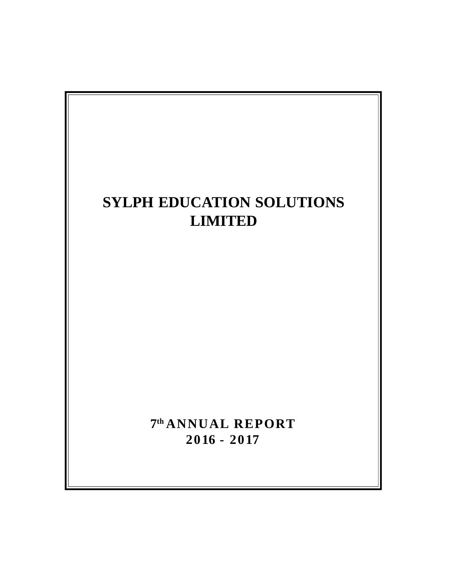# **7 th ANNUAL REPORT 2016 - 2017 SYLPH EDUCATION SOLUTIONS LIMITED**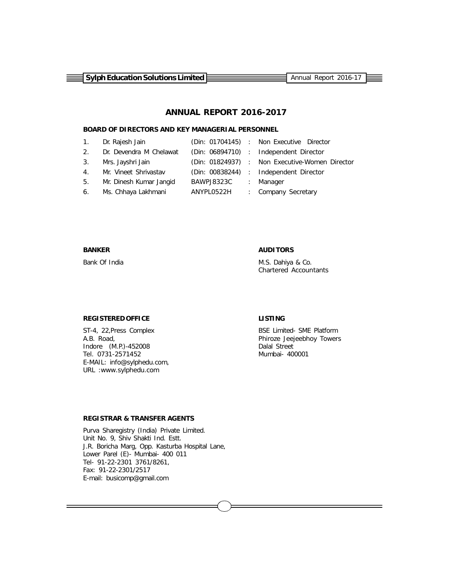**Sylph Education Solutions Limited Example 2016-17** Annual Report 2016-17

# **ANNUAL REPORT 2016-2017**

#### **BOARD OF DIRECTORS AND KEY MANAGERIAL PERSONNEL**

|                | 1. Dr. Rajesh Jain         |                      | (Din: 01704145) : Non Executive Director       |
|----------------|----------------------------|----------------------|------------------------------------------------|
|                | 2. Dr. Devendra M Chelawat |                      | (Din: 06894710) : Independent Director         |
| 3 <sub>1</sub> | Mrs. Jayshri Jain          |                      | (Din: 01824937) : Non Executive-Women Director |
|                | 4. Mr. Vineet Shrivastav   |                      | (Din: 00838244) : Independent Director         |
| 5.             | Mr. Dinesh Kumar Jangid    | BAWPJ8323C : Manager |                                                |
|                | 6. Ms. Chhaya Lakhmani     | ANYPL0522H           | : Company Secretary                            |

#### **BANKER AUDITORS**

Bank Of India **M.S. Dahiya & Co.** Chartered Accountants

## **REGISTERED OFFICE LISTING**

ST-4, 22, Press Complex BSE Limited- SME Platform A.B. Road, and the same of the set of the set of the Phiroze Jeejeebhoy Towers and the control of the method of the method of the method of the method of the method of the method of the method of the method of the method o Indore (M.P.)-452008 Tel. 0731-2571452 Mumbai- 400001 E-MAIL: info@sylphedu.com, URL :www.sylphedu.com

#### **REGISTRAR & TRANSFER AGENTS**

Purva Sharegistry (India) Private Limited. Unit No. 9, Shiv Shakti Ind. Estt. J.R. Boricha Marg, Opp. Kasturba Hospital Lane, Lower Parel (E)- Mumbai- 400 011 Tel- 91-22-2301 3761/8261, Fax: 91-22-2301/2517 E-mail: busicomp@gmail.com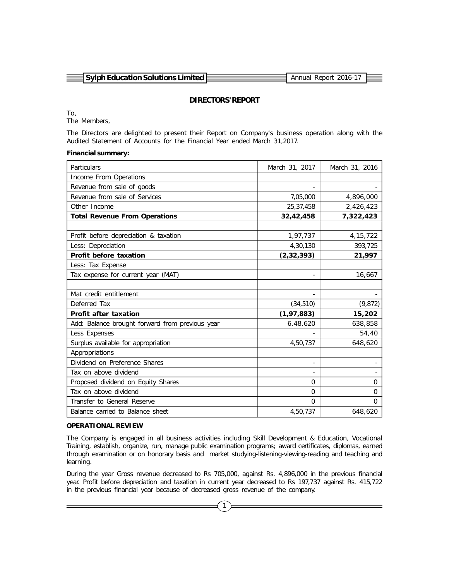| $\equiv$ Sylph Education Solutions Limited E | Annual Report 2016-17 |  |
|----------------------------------------------|-----------------------|--|
|                                              |                       |  |

#### **DIRECTORS' REPORT**

To,

The Members,

The Directors are delighted to present their Report on Company's business operation along with the Audited Statement of Accounts for the Financial Year ended March 31,2017.

#### **Financial summary:**

| Particulars                                     | March 31, 2017 | March 31, 2016 |
|-------------------------------------------------|----------------|----------------|
| Income From Operations                          |                |                |
| Revenue from sale of goods                      |                |                |
| Revenue from sale of Services                   | 7,05,000       | 4,896,000      |
| Other Income                                    | 25,37,458      | 2,426,423      |
| <b>Total Revenue From Operations</b>            | 32,42,458      | 7,322,423      |
|                                                 |                |                |
| Profit before depreciation & taxation           | 1,97,737       | 4, 15, 722     |
| Less: Depreciation                              | 4,30,130       | 393,725        |
| Profit before taxation                          | (2, 32, 393)   | 21,997         |
| Less: Tax Expense                               |                |                |
| Tax expense for current year (MAT)              |                | 16,667         |
|                                                 |                |                |
| Mat credit entitlement                          |                |                |
| Deferred Tax                                    | (34, 510)      | (9, 872)       |
| <b>Profit after taxation</b>                    | (1, 97, 883)   | 15,202         |
| Add: Balance brought forward from previous year | 6,48,620       | 638,858        |
| Less Expenses                                   |                | 54,40          |
| Surplus available for appropriation             | 4,50,737       | 648,620        |
| Appropriations                                  |                |                |
| Dividend on Preference Shares                   |                |                |
| Tax on above dividend                           |                |                |
| Proposed dividend on Equity Shares              | $\Omega$       | 0              |
| Tax on above dividend                           | $\mathbf 0$    | $\Omega$       |
| Transfer to General Reserve                     | $\Omega$       | $\Omega$       |
| Balance carried to Balance sheet                | 4,50,737       | 648,620        |

#### **OPERATIONAL REVIEW**

The Company is engaged in all business activities including Skill Development & Education, Vocational Training, establish, organize, run, manage public examination programs; award certificates, diplomas, earned through examination or on honorary basis and market studying-listening-viewing-reading and teaching and learning.

During the year Gross revenue decreased to Rs 705,000, against Rs. 4,896,000 in the previous financial year. Profit before depreciation and taxation in current year decreased to Rs 197,737 against Rs. 415,722 in the previous financial year because of decreased gross revenue of the company.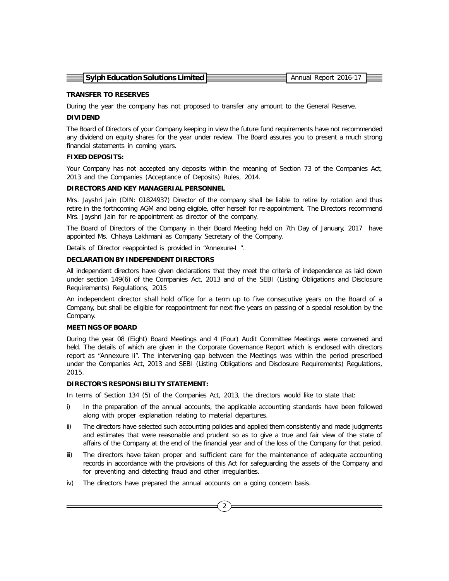| $\equiv$ Sylph Education Solutions Limited $\sqsubseteq$ | Annual Report 2016-17 |  |
|----------------------------------------------------------|-----------------------|--|
|                                                          |                       |  |

#### **TRANSFER TO RESERVES**

During the year the company has not proposed to transfer any amount to the General Reserve.

#### **DIVIDEND**

The Board of Directors of your Company keeping in view the future fund requirements have not recommended any dividend on equity shares for the year under review. The Board assures you to present a much strong financial statements in coming years.

#### **FIXED DEPOSITS:**

Your Company has not accepted any deposits within the meaning of Section 73 of the Companies Act, 2013 and the Companies (Acceptance of Deposits) Rules, 2014.

#### **DIRECTORS AND KEY MANAGERIAL PERSONNEL**

Mrs. Jayshri Jain (DIN: 01824937) Director of the company shall be liable to retire by rotation and thus retire in the forthcoming AGM and being eligible, offer herself for re-appointment. The Directors recommend Mrs. Jayshri Jain for re-appointment as director of the company.

The Board of Directors of the Company in their Board Meeting held on 7th Day of January, 2017 have appointed Ms. Chhaya Lakhmani as Company Secretary of the Company.

Details of Director reappointed is provided in "Annexure-I ".

#### **DECLARATION BY INDEPENDENT DIRECTORS**

All independent directors have given declarations that they meet the criteria of independence as laid down under section 149(6) of the Companies Act, 2013 and of the SEBI (Listing Obligations and Disclosure Requirements) Regulations, 2015

An independent director shall hold office for a term up to five consecutive years on the Board of a Company, but shall be eligible for reappointment for next five years on passing of a special resolution by the Company.

#### **MEETINGS OF BOARD**

During the year 08 (Eight) Board Meetings and 4 (Four) Audit Committee Meetings were convened and held. The details of which are given in the Corporate Governance Report which is enclosed with directors report as "Annexure ii". The intervening gap between the Meetings was within the period prescribed under the Companies Act, 2013 and SEBI (Listing Obligations and Disclosure Requirements) Regulations, 2015.

#### **DIRECTOR'S RESPONSIBILITY STATEMENT:**

In terms of Section 134 (5) of the Companies Act, 2013, the directors would like to state that:

- i) In the preparation of the annual accounts, the applicable accounting standards have been followed along with proper explanation relating to material departures.
- ii) The directors have selected such accounting policies and applied them consistently and made judgments and estimates that were reasonable and prudent so as to give a true and fair view of the state of affairs of the Company at the end of the financial year and of the loss of the Company for that period.
- iii) The directors have taken proper and sufficient care for the maintenance of adequate accounting records in accordance with the provisions of this Act for safeguarding the assets of the Company and for preventing and detecting fraud and other irregularities.
- iv) The directors have prepared the annual accounts on a going concern basis.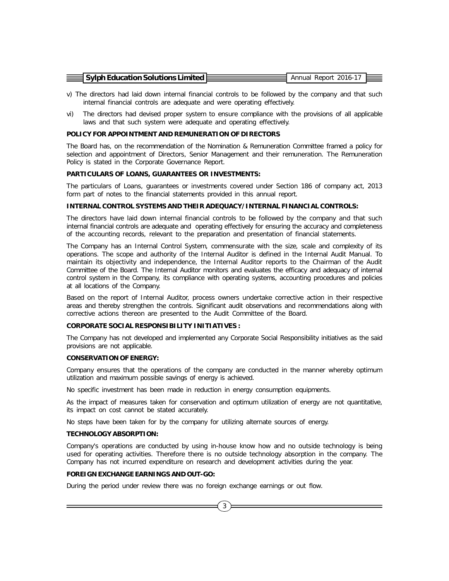| $\equiv$ Sylph Education Solutions Limited E | . Annual Report 2016-17 |  |
|----------------------------------------------|-------------------------|--|
|                                              |                         |  |
|                                              |                         |  |

- v) The directors had laid down internal financial controls to be followed by the company and that such internal financial controls are adequate and were operating effectively.
- vi) The directors had devised proper system to ensure compliance with the provisions of all applicable laws and that such system were adequate and operating effectively.

#### **POLICY FOR APPOINTMENT AND REMUNERATION OF DIRECTORS**

The Board has, on the recommendation of the Nomination & Remuneration Committee framed a policy for selection and appointment of Directors, Senior Management and their remuneration. The Remuneration Policy is stated in the Corporate Governance Report.

#### **PARTICULARS OF LOANS, GUARANTEES OR INVESTMENTS:**

The particulars of Loans, guarantees or investments covered under Section 186 of company act, 2013 form part of notes to the financial statements provided in this annual report.

#### **INTERNAL CONTROL SYSTEMS AND THEIR ADEQUACY/INTERNAL FINANCIAL CONTROLS:**

The directors have laid down internal financial controls to be followed by the company and that such internal financial controls are adequate and operating effectively for ensuring the accuracy and completeness of the accounting records, relevant to the preparation and presentation of financial statements.

The Company has an Internal Control System, commensurate with the size, scale and complexity of its operations. The scope and authority of the Internal Auditor is defined in the Internal Audit Manual. To maintain its objectivity and independence, the Internal Auditor reports to the Chairman of the Audit Committee of the Board. The Internal Auditor monitors and evaluates the efficacy and adequacy of internal control system in the Company, its compliance with operating systems, accounting procedures and policies at all locations of the Company.

Based on the report of Internal Auditor, process owners undertake corrective action in their respective areas and thereby strengthen the controls. Significant audit observations and recommendations along with corrective actions thereon are presented to the Audit Committee of the Board.

#### **CORPORATE SOCIAL RESPONSIBILITY INITIATIVES :**

The Company has not developed and implemented any Corporate Social Responsibility initiatives as the said provisions are not applicable.

#### **CONSERVATION OF ENERGY:**

Company ensures that the operations of the company are conducted in the manner whereby optimum utilization and maximum possible savings of energy is achieved.

No specific investment has been made in reduction in energy consumption equipments.

As the impact of measures taken for conservation and optimum utilization of energy are not quantitative, its impact on cost cannot be stated accurately.

No steps have been taken for by the company for utilizing alternate sources of energy.

#### **TECHNOLOGY ABSORPTION:**

Company's operations are conducted by using in-house know how and no outside technology is being used for operating activities. Therefore there is no outside technology absorption in the company. The Company has not incurred expenditure on research and development activities during the year.

#### **FOREIGN EXCHANGE EARNINGS AND OUT-GO:**

During the period under review there was no foreign exchange earnings or out flow.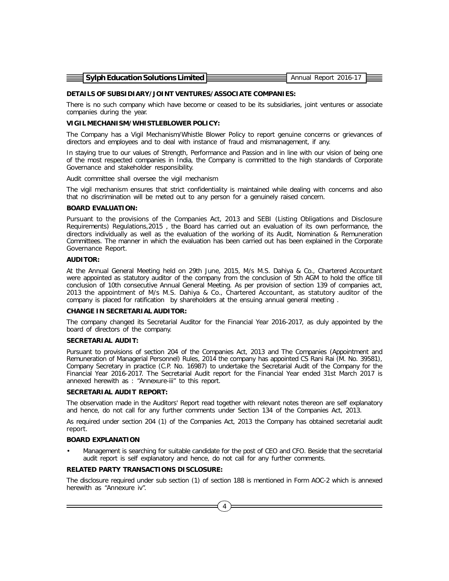| $\equiv$ Sylph Education Solutions Limited E | Annual Report 2016-17 |  |
|----------------------------------------------|-----------------------|--|
|                                              |                       |  |
|                                              |                       |  |

#### **DETAILS OF SUBSIDIARY/JOINT VENTURES/ASSOCIATE COMPANIES:**

There is no such company which have become or ceased to be its subsidiaries, joint ventures or associate companies during the year.

#### **VIGIL MECHANISM/WHISTLEBLOWER POLICY:**

The Company has a Vigil Mechanism/Whistle Blower Policy to report genuine concerns or grievances of directors and employees and to deal with instance of fraud and mismanagement, if any.

In staying true to our values of Strength, Performance and Passion and in line with our vision of being one of the most respected companies in India, the Company is committed to the high standards of Corporate Governance and stakeholder responsibility.

Audit committee shall oversee the vigil mechanism

The vigil mechanism ensures that strict confidentiality is maintained while dealing with concerns and also that no discrimination will be meted out to any person for a genuinely raised concern.

#### **BOARD EVALUATION:**

Pursuant to the provisions of the Companies Act, 2013 and SEBI (Listing Obligations and Disclosure Requirements) Regulations,2015 , the Board has carried out an evaluation of its own performance, the directors individually as well as the evaluation of the working of its Audit, Nomination & Remuneration Committees. The manner in which the evaluation has been carried out has been explained in the Corporate Governance Report.

#### **AUDITOR:**

At the Annual General Meeting held on 29th June, 2015, M/s M.S. Dahiya & Co., Chartered Accountant were appointed as statutory auditor of the company from the conclusion of 5th AGM to hold the office till conclusion of 10th consecutive Annual General Meeting. As per provision of section 139 of companies act, 2013 the appointment of M/s M.S. Dahiya & Co., Chartered Accountant, as statutory auditor of the company is placed for ratification by shareholders at the ensuing annual general meeting .

#### **CHANGE IN SECRETARIAL AUDITOR:**

The company changed its Secretarial Auditor for the Financial Year 2016-2017, as duly appointed by the board of directors of the company.

#### **SECRETARIAL AUDIT:**

Pursuant to provisions of section 204 of the Companies Act, 2013 and The Companies (Appointment and Remuneration of Managerial Personnel) Rules, 2014 the company has appointed CS Rani Rai (M. No. 39581), Company Secretary in practice (C.P. No. 16987) to undertake the Secretarial Audit of the Company for the Financial Year 2016-2017. The Secretarial Audit report for the Financial Year ended 31st March 2017 is annexed herewith as : "Annexure-iii" to this report.

#### **SECRETARIAL AUDIT REPORT:**

The observation made in the Auditors' Report read together with relevant notes thereon are self explanatory and hence, do not call for any further comments under Section 134 of the Companies Act, 2013.

As required under section 204 (1) of the Companies Act, 2013 the Company has obtained secretarial audit report.

#### **BOARD EXPLANATION**

• Management is searching for suitable candidate for the post of CEO and CFO. Beside that the secretarial audit report is self explanatory and hence, do not call for any further comments.

#### **RELATED PARTY TRANSACTIONS DISCLOSURE:**

The disclosure required under sub section (1) of section 188 is mentioned in Form AOC-2 which is annexed herewith as "Annexure iv".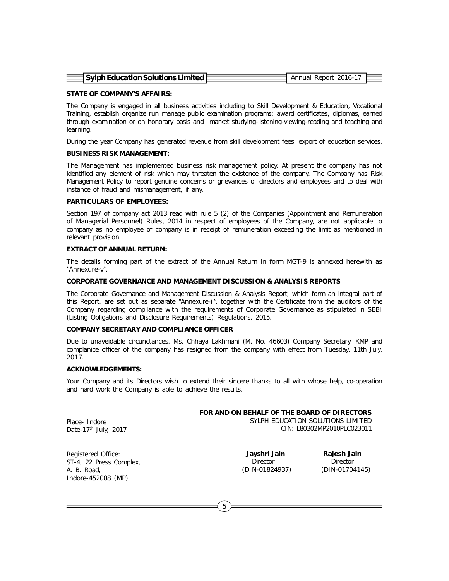| $\equiv$ Sylph Education Solutions Limited $E$ | Annual Report 2016-17 |  |
|------------------------------------------------|-----------------------|--|

#### **STATE OF COMPANY'S AFFAIRS:**

The Company is engaged in all business activities including to Skill Development & Education, Vocational Training, establish organize run manage public examination programs; award certificates, diplomas, earned through examination or on honorary basis and market studying-listening-viewing-reading and teaching and learning.

During the year Company has generated revenue from skill development fees, export of education services.

#### **BUSINESS RISK MANAGEMENT:**

The Management has implemented business risk management policy. At present the company has not identified any element of risk which may threaten the existence of the company. The Company has Risk Management Policy to report genuine concerns or grievances of directors and employees and to deal with instance of fraud and mismanagement, if any.

#### **PARTICULARS OF EMPLOYEES:**

Section 197 of company act 2013 read with rule 5 (2) of the Companies (Appointment and Remuneration of Managerial Personnel) Rules, 2014 in respect of employees of the Company, are not applicable to company as no employee of company is in receipt of remuneration exceeding the limit as mentioned in relevant provision.

#### **EXTRACT OF ANNUAL RETURN:**

The details forming part of the extract of the Annual Return in form MGT-9 is annexed herewith as "Annexure-v".

#### **CORPORATE GOVERNANCE AND MANAGEMENT DISCUSSION & ANALYSIS REPORTS**

The Corporate Governance and Management Discussion & Analysis Report, which form an integral part of this Report, are set out as separate "Annexure-ii", together with the Certificate from the auditors of the Company regarding compliance with the requirements of Corporate Governance as stipulated in SEBI (Listing Obligations and Disclosure Requirements) Regulations, 2015.

#### **COMPANY SECRETARY AND COMPLIANCE OFFICER**

Due to unaveidable circunctances, Ms. Chhaya Lakhmani (M. No. 46603) Company Secretary, KMP and complanice officer of the company has resigned from the company with effect from Tuesday, 11th July, 2017.

#### **ACKNOWLEDGEMENTS:**

Your Company and its Directors wish to extend their sincere thanks to all with whose help, co-operation and hard work the Company is able to achieve the results.

#### **FOR AND ON BEHALF OF THE BOARD OF DIRECTORS**

Place- Indore Date-17<sup>th</sup> July, 2017 SYLPH EDUCATION SOLUTIONS LIMITED

CIN: L80302MP2010PLC023011

Registered Office: ST-4, 22 Press Complex, A. B. Road, Indore-452008 (MP)

 **Jayshri Jain Rajesh Jain** Director Director (DIN-01824937) (DIN-01704145)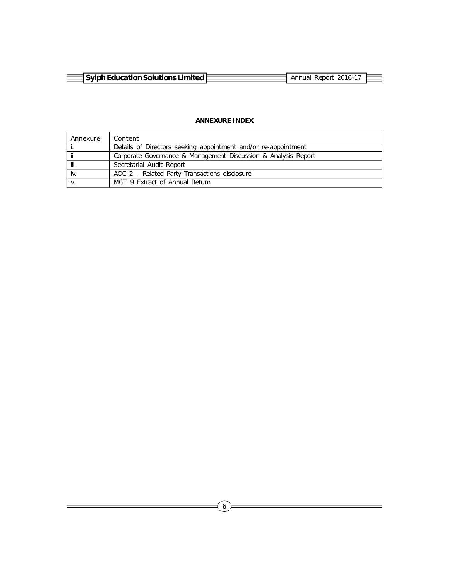| svlph Education Solutions Limited }<br>the contract of the contract of | Annual<br>Report |  |
|------------------------------------------------------------------------|------------------|--|
|                                                                        |                  |  |

# **ANNEXURE INDEX**

| Annexure | Content                                                        |
|----------|----------------------------------------------------------------|
|          | Details of Directors seeking appointment and/or re-appointment |
| ji.      | Corporate Governance & Management Discussion & Analysis Report |
| jii.     | Secretarial Audit Report                                       |
| iv.      | AOC 2 – Related Party Transactions disclosure                  |
|          | MGT 9 Extract of Annual Return                                 |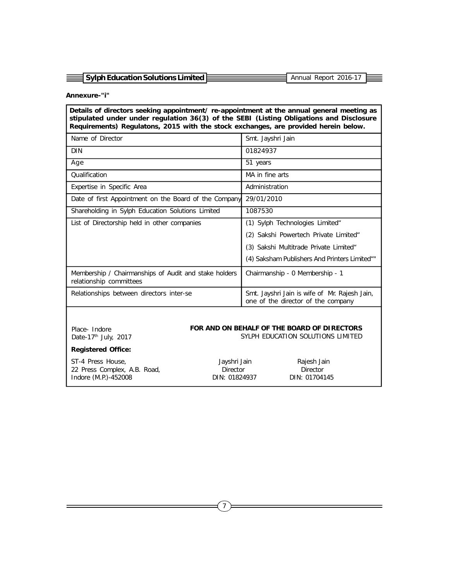|                                       | Annual Report 2016-17 |  |
|---------------------------------------|-----------------------|--|
|                                       |                       |  |
| 크 Sylph Education Solutions Limited L |                       |  |

#### **Annexure-"i"**

| Details of directors seeking appointment/ re-appointment at the annual general meeting as<br>stipulated under under regulation 36(3) of the SEBI (Listing Obligations and Disclosure<br>Requirements) Regulatons, 2015 with the stock exchanges, are provided herein below. |                                                                                     |  |  |
|-----------------------------------------------------------------------------------------------------------------------------------------------------------------------------------------------------------------------------------------------------------------------------|-------------------------------------------------------------------------------------|--|--|
| Name of Director                                                                                                                                                                                                                                                            | Smt. Jayshri Jain                                                                   |  |  |
| <b>DIN</b>                                                                                                                                                                                                                                                                  | 01824937                                                                            |  |  |
| Age                                                                                                                                                                                                                                                                         | 51 years                                                                            |  |  |
| Qualification                                                                                                                                                                                                                                                               | MA in fine arts                                                                     |  |  |
| Expertise in Specific Area                                                                                                                                                                                                                                                  | Administration                                                                      |  |  |
| Date of first Appointment on the Board of the Company                                                                                                                                                                                                                       | 29/01/2010                                                                          |  |  |
| Shareholding in Sylph Education Solutions Limited                                                                                                                                                                                                                           | 1087530                                                                             |  |  |
| List of Directorship held in other companies                                                                                                                                                                                                                                | (1) Sylph Technologies Limited"                                                     |  |  |
|                                                                                                                                                                                                                                                                             | (2) Sakshi Powertech Private Limited"                                               |  |  |
|                                                                                                                                                                                                                                                                             | (3) Sakshi Multitrade Private Limited"                                              |  |  |
|                                                                                                                                                                                                                                                                             | (4) Saksham Publishers And Printers Limited""                                       |  |  |
| Membership / Chairmanships of Audit and stake holders<br>relationship committees                                                                                                                                                                                            | Chairmanship - 0 Membership - 1                                                     |  |  |
| Relationships between directors inter-se                                                                                                                                                                                                                                    | Smt. Jayshri Jain is wife of Mr. Rajesh Jain,<br>one of the director of the company |  |  |
|                                                                                                                                                                                                                                                                             |                                                                                     |  |  |

Place- Indore Date-17<sup>th</sup> July, 2017

#### **FOR AND ON BEHALF OF THE BOARD OF DIRECTORS** SYLPH EDUCATION SOLUTIONS LIMITED

# **Registered Office:**

ST-4 Press House, Jayshri Jain Rajesh Jain 22 Press Complex, A.B. Road, **Director** Director **Director** Director Indore (M.P.)-452008 DIN: 01824937 DIN: 01704145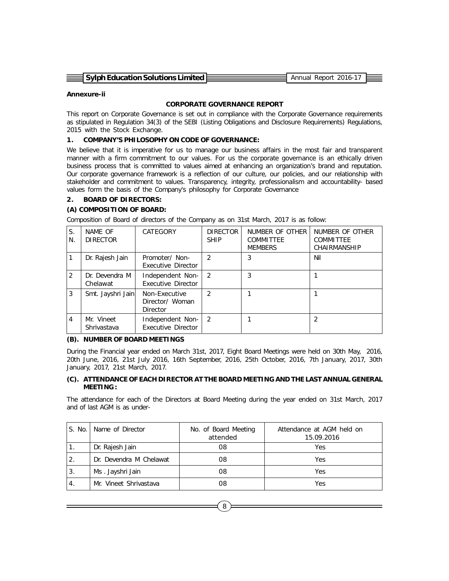| 국 Sylph Education Solutions Limited E | Annual Report 2016-17 |  |
|---------------------------------------|-----------------------|--|
|                                       |                       |  |
|                                       |                       |  |

#### **Annexure-ii**

#### **CORPORATE GOVERNANCE REPORT**

This report on Corporate Governance is set out in compliance with the Corporate Governance requirements as stipulated in Regulation 34(3) of the SEBI (Listing Obligations and Disclosure Requirements) Regulations, 2015 with the Stock Exchange.

#### **1. COMPANY'S PHILOSOPHY ON CODE OF GOVERNANCE:**

We believe that it is imperative for us to manage our business affairs in the most fair and transparent manner with a firm commitment to our values. For us the corporate governance is an ethically driven business process that is committed to values aimed at enhancing an organization's brand and reputation. Our corporate governance framework is a reflection of our culture, our policies, and our relationship with stakeholder and commitment to values. Transparency, integrity, professionalism and accountability- based values form the basis of the Company's philosophy for Corporate Governance

#### **2. BOARD OF DIRECTORS:**

#### **(A) COMPOSITION OF BOARD:**

Composition of Board of directors of the Company as on 31st March, 2017 is as follow:

| S.<br>N.      | NAME OF<br><b>DIRECTOR</b> | CATEGORY                                     | <b>DIRECTOR</b><br><b>SHIP</b> | NUMBER OF OTHER<br>COMMITTEE<br><b>MEMBERS</b> | NUMBER OF OTHER<br>COMMITTEE<br>CHAIRMANSHIP |
|---------------|----------------------------|----------------------------------------------|--------------------------------|------------------------------------------------|----------------------------------------------|
|               | Dr. Rajesh Jain            | Promoter/ Non-<br>Executive Director         | $\mathcal{P}$                  | 3                                              | Nil                                          |
| $\mathcal{P}$ | Dr. Devendra M<br>Chelawat | Independent Non-<br>Executive Director       | $\mathcal{P}$                  | 3                                              |                                              |
| 3             | Smt. Jayshri Jain          | Non-Executive<br>Director/ Woman<br>Director | $\mathcal{P}$                  |                                                |                                              |
| 4             | Mr. Vineet<br>Shrivastava  | Independent Non-<br>Executive Director       | $\mathcal{L}$                  |                                                |                                              |

#### **(B). NUMBER OF BOARD MEETINGS**

During the Financial year ended on March 31st, 2017, Eight Board Meetings were held on 30th May, 2016, 20th June, 2016, 21st July 2016, 16th September, 2016, 25th October, 2016, 7th January, 2017, 30th January, 2017, 21st March, 2017.

#### **(C). ATTENDANCE OF EACH DIRECTOR AT THE BOARD MEETING AND THE LAST ANNUAL GENERAL MEETING :**

The attendance for each of the Directors at Board Meeting during the year ended on 31st March, 2017 and of last AGM is as under-

| S. No.        | Name of Director        | No. of Board Meeting<br>attended | Attendance at AGM held on<br>15.09.2016 |
|---------------|-------------------------|----------------------------------|-----------------------------------------|
|               | Dr. Rajesh Jain         | 08                               | Yes                                     |
| 2.            | Dr. Devendra M Chelawat | 08                               | Yes                                     |
| 3.            | Ms. Jayshri Jain        | 08                               | Yes                                     |
| $^{\circ}4$ . | Mr. Vineet Shrivastava  | 08                               | Yes                                     |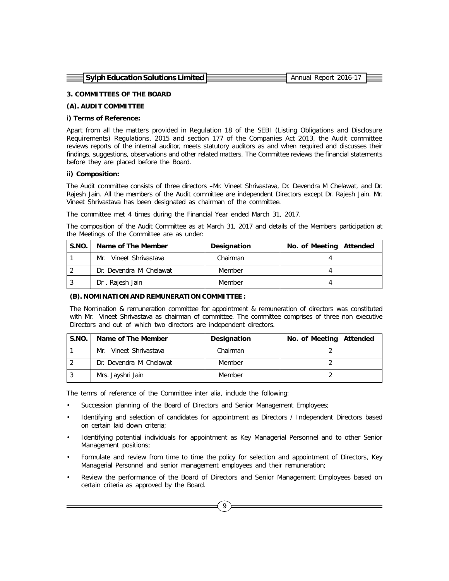| 크 Sylph Education Solutions Limited E | . Annual Report 2016-17 |  |
|---------------------------------------|-------------------------|--|
|                                       |                         |  |

#### **3. COMMITTEES OF THE BOARD**

#### **(A). AUDIT COMMITTEE**

#### **i) Terms of Reference:**

Apart from all the matters provided in Regulation 18 of the SEBI (Listing Obligations and Disclosure Requirements) Regulations, 2015 and section 177 of the Companies Act 2013, the Audit committee reviews reports of the internal auditor, meets statutory auditors as and when required and discusses their findings, suggestions, observations and other related matters. The Committee reviews the financial statements before they are placed before the Board.

#### **ii) Composition:**

The Audit committee consists of three directors –Mr. Vineet Shrivastava, Dr. Devendra M Chelawat, and Dr. Rajesh Jain. All the members of the Audit committee are independent Directors except Dr. Rajesh Jain. Mr. Vineet Shrivastava has been designated as chairman of the committee.

The committee met 4 times during the Financial Year ended March 31, 2017.

The composition of the Audit Committee as at March 31, 2017 and details of the Members participation at the Meetings of the Committee are as under:

| S.NO. | Name of The Member      | Designation | No. of Meeting Attended |
|-------|-------------------------|-------------|-------------------------|
|       | Mr. Vineet Shrivastava  | Chairman    |                         |
|       | Dr. Devendra M Chelawat | Member      |                         |
|       | Dr. Rajesh Jain         | Member      |                         |

#### **(B). NOMINATION AND REMUNERATION COMMITTEE :**

The Nomination & remuneration committee for appointment & remuneration of directors was constituted with Mr. Vineet Shrivastava as chairman of committee. The committee comprises of three non executive Directors and out of which two directors are independent directors.

| S.NO. | Name of The Member      | Designation | No. of Meeting Attended |
|-------|-------------------------|-------------|-------------------------|
|       | Mr. Vineet Shrivastava  | Chairman    |                         |
|       | Dr. Devendra M Chelawat | Member      |                         |
|       | Mrs. Jayshri Jain       | Member      |                         |

The terms of reference of the Committee inter alia, include the following:

- Succession planning of the Board of Directors and Senior Management Employees;
- Identifying and selection of candidates for appointment as Directors / Independent Directors based on certain laid down criteria;
- Identifying potential individuals for appointment as Key Managerial Personnel and to other Senior Management positions;
- Formulate and review from time to time the policy for selection and appointment of Directors, Key Managerial Personnel and senior management employees and their remuneration;
- Review the performance of the Board of Directors and Senior Management Employees based on certain criteria as approved by the Board.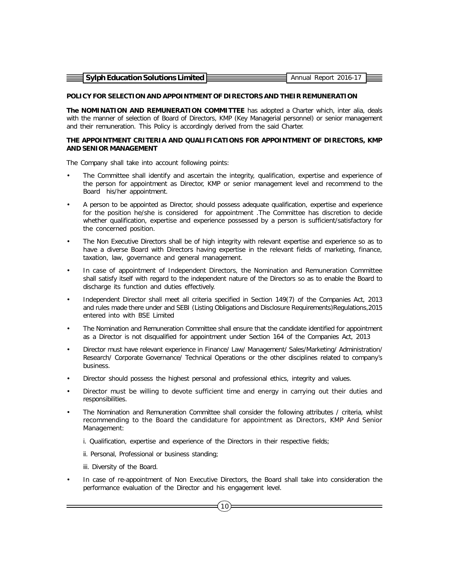| $\equiv$ Sylph Education Solutions Limited $\equiv$ | Annual Report 2016-17 |  |
|-----------------------------------------------------|-----------------------|--|
|                                                     |                       |  |

#### **POLICY FOR SELECTION AND APPOINTMENT OF DIRECTORS AND THEIR REMUNERATION**

**The NOMINATION AND REMUNERATION COMMITTEE** has adopted a Charter which, inter alia, deals with the manner of selection of Board of Directors, KMP (Key Managerial personnel) or senior management and their remuneration. This Policy is accordingly derived from the said Charter.

#### **THE APPOINTMENT CRITERIA AND QUALIFICATIONS FOR APPOINTMENT OF DIRECTORS, KMP AND SENIOR MANAGEMENT**

The Company shall take into account following points:

- The Committee shall identify and ascertain the integrity, qualification, expertise and experience of the person for appointment as Director, KMP or senior management level and recommend to the Board his/her appointment.
- A person to be appointed as Director, should possess adequate qualification, expertise and experience for the position he/she is considered for appointment .The Committee has discretion to decide whether qualification, expertise and experience possessed by a person is sufficient/satisfactory for the concerned position.
- The Non Executive Directors shall be of high integrity with relevant expertise and experience so as to have a diverse Board with Directors having expertise in the relevant fields of marketing, finance, taxation, law, governance and general management.
- In case of appointment of Independent Directors, the Nomination and Remuneration Committee shall satisfy itself with regard to the independent nature of the Directors so as to enable the Board to discharge its function and duties effectively.
- Independent Director shall meet all criteria specified in Section 149(7) of the Companies Act, 2013 and rules made there under and SEBI (Listing Obligations and Disclosure Requirements)Regulations,2015 entered into with BSE Limited
- The Nomination and Remuneration Committee shall ensure that the candidate identified for appointment as a Director is not disqualified for appointment under Section 164 of the Companies Act, 2013
- Director must have relevant experience in Finance/ Law/ Management/ Sales/Marketing/ Administration/ Research/ Corporate Governance/ Technical Operations or the other disciplines related to company's business.
- Director should possess the highest personal and professional ethics, integrity and values.
- Director must be willing to devote sufficient time and energy in carrying out their duties and responsibilities.
- The Nomination and Remuneration Committee shall consider the following attributes / criteria, whilst recommending to the Board the candidature for appointment as Directors, KMP And Senior Management:
	- i. Qualification, expertise and experience of the Directors in their respective fields;
	- ii. Personal, Professional or business standing;
	- iii. Diversity of the Board.
- In case of re-appointment of Non Executive Directors, the Board shall take into consideration the performance evaluation of the Director and his engagement level.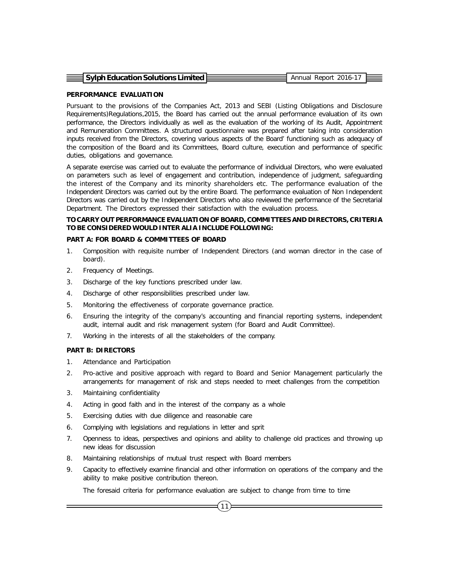| $\equiv$ Sylph Education Solutions Limited E | Annual Report 2016-17 |  |
|----------------------------------------------|-----------------------|--|
|                                              |                       |  |
|                                              |                       |  |

#### **PERFORMANCE EVALUATION**

Pursuant to the provisions of the Companies Act, 2013 and SEBI (Listing Obligations and Disclosure Requirements)Regulations,2015, the Board has carried out the annual performance evaluation of its own performance, the Directors individually as well as the evaluation of the working of its Audit, Appointment and Remuneration Committees. A structured questionnaire was prepared after taking into consideration inputs received from the Directors, covering various aspects of the Board' functioning such as adequacy of the composition of the Board and its Committees, Board culture, execution and performance of specific duties, obligations and governance.

A separate exercise was carried out to evaluate the performance of individual Directors, who were evaluated on parameters such as level of engagement and contribution, independence of judgment, safeguarding the interest of the Company and its minority shareholders etc. The performance evaluation of the Independent Directors was carried out by the entire Board. The performance evaluation of Non Independent Directors was carried out by the Independent Directors who also reviewed the performance of the Secretarial Department. The Directors expressed their satisfaction with the evaluation process.

## **TO CARRY OUT PERFORMANCE EVALUATION OF BOARD, COMMITTEES AND DIRECTORS, CRITERIA TO BE CONSIDERED WOULD INTER ALIA INCLUDE FOLLOWING:**

#### **PART A: FOR BOARD & COMMITTEES OF BOARD**

- 1. Composition with requisite number of Independent Directors (and woman director in the case of board).
- 2. Frequency of Meetings.
- 3. Discharge of the key functions prescribed under law.
- 4. Discharge of other responsibilities prescribed under law.
- 5. Monitoring the effectiveness of corporate governance practice.
- 6. Ensuring the integrity of the company's accounting and financial reporting systems, independent audit, internal audit and risk management system (for Board and Audit Committee).
- 7. Working in the interests of all the stakeholders of the company.

#### **PART B: DIRECTORS**

- 1. Attendance and Participation
- 2. Pro-active and positive approach with regard to Board and Senior Management particularly the arrangements for management of risk and steps needed to meet challenges from the competition
- 3. Maintaining confidentiality
- 4. Acting in good faith and in the interest of the company as a whole
- 5. Exercising duties with due diligence and reasonable care
- 6. Complying with legislations and regulations in letter and sprit
- 7. Openness to ideas, perspectives and opinions and ability to challenge old practices and throwing up new ideas for discussion
- 8. Maintaining relationships of mutual trust respect with Board members
- 9. Capacity to effectively examine financial and other information on operations of the company and the ability to make positive contribution thereon.

 $(11)$ 

The foresaid criteria for performance evaluation are subject to change from time to time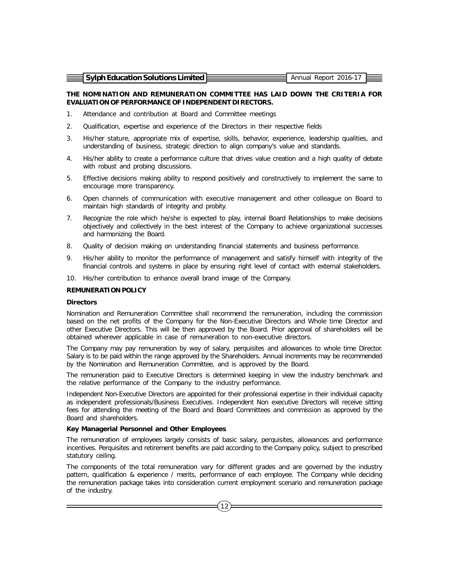| 국 Sylph Education Solutions Limited E | Annual Report 2016-17 |  |
|---------------------------------------|-----------------------|--|
|                                       |                       |  |
|                                       |                       |  |

#### **THE NOMINATION AND REMUNERATION COMMITTEE HAS LAID DOWN THE CRITERIA FOR EVALUATION OF PERFORMANCE OF INDEPENDENT DIRECTORS.**

- 1. Attendance and contribution at Board and Committee meetings
- 2. Qualification, expertise and experience of the Directors in their respective fields
- 3. His/her stature, appropriate mix of expertise, skills, behavior, experience, leadership qualities, and understanding of business, strategic direction to align company's value and standards.
- 4. His/her ability to create a performance culture that drives value creation and a high quality of debate with robust and probing discussions.
- 5. Effective decisions making ability to respond positively and constructively to implement the same to encourage more transparency.
- 6. Open channels of communication with executive management and other colleague on Board to maintain high standards of integrity and probity.
- 7. Recognize the role which he/she is expected to play, internal Board Relationships to make decisions objectively and collectively in the best interest of the Company to achieve organizational successes and harmonizing the Board.
- 8. Quality of decision making on understanding financial statements and business performance.
- 9. His/her ability to monitor the performance of management and satisfy himself with integrity of the financial controls and systems in place by ensuring right level of contact with external stakeholders.
- 10. His/her contribution to enhance overall brand image of the Company.

#### **REMUNERATION POLICY**

#### **Directors**

Nomination and Remuneration Committee shall recommend the remuneration, including the commission based on the net profits of the Company for the Non-Executive Directors and Whole time Director and other Executive Directors. This will be then approved by the Board. Prior approval of shareholders will be obtained wherever applicable in case of remuneration to non-executive directors.

The Company may pay remuneration by way of salary, perquisites and allowances to whole time Director. Salary is to be paid within the range approved by the Shareholders. Annual increments may be recommended by the Nomination and Remuneration Committee, and is approved by the Board.

The remuneration paid to Executive Directors is determined keeping in view the industry benchmark and the relative performance of the Company to the industry performance.

Independent Non-Executive Directors are appointed for their professional expertise in their individual capacity as independent professionals/Business Executives. Independent Non executive Directors will receive sitting fees for attending the meeting of the Board and Board Committees and commission as approved by the Board and shareholders.

#### **Key Managerial Personnel and Other Employees**

The remuneration of employees largely consists of basic salary, perquisites, allowances and performance incentives. Perquisites and retirement benefits are paid according to the Company policy, subject to prescribed statutory ceiling.

The components of the total remuneration vary for different grades and are governed by the industry pattern, qualification & experience / merits, performance of each employee. The Company while deciding the remuneration package takes into consideration current employment scenario and remuneration package of the industry.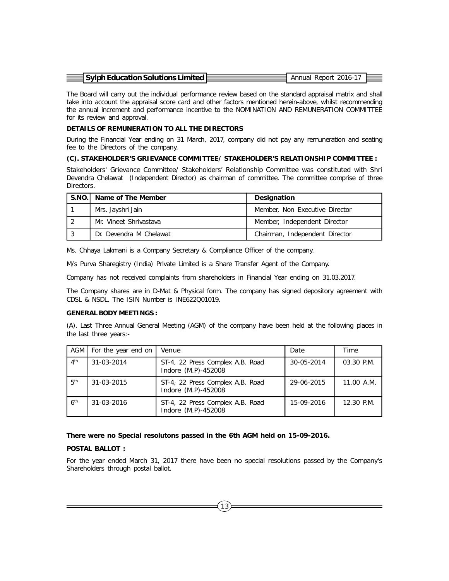| $\equiv$ Sylph Education Solutions Limited $\approx$ | Annual Report 2016-17 |  |
|------------------------------------------------------|-----------------------|--|

The Board will carry out the individual performance review based on the standard appraisal matrix and shall take into account the appraisal score card and other factors mentioned herein-above, whilst recommending the annual increment and performance incentive to the NOMINATION AND REMUNERATION COMMITTEE for its review and approval.

#### **DETAILS OF REMUNERATION TO ALL THE DIRECTORS**

During the Financial Year ending on 31 March, 2017, company did not pay any remuneration and seating fee to the Directors of the company.

#### **(C). STAKEHOLDER'S GRIEVANCE COMMITTEE/ STAKEHOLDER'S RELATIONSHIP COMMITTEE :**

Stakeholders' Grievance Committee/ Stakeholders' Relationship Committee was constituted with Shri Devendra Chelawat (Independent Director) as chairman of committee. The committee comprise of three Directors.

| S.NO. Name of The Member | Designation                    |
|--------------------------|--------------------------------|
| Mrs. Jayshri Jain        | Member, Non Executive Director |
| Mr. Vineet Shrivastava   | Member, Independent Director   |
| Dr. Devendra M Chelawat  | Chairman, Independent Director |

Ms. Chhaya Lakmani is a Company Secretary & Compliance Officer of the company.

M/s Purva Sharegistry (India) Private Limited is a Share Transfer Agent of the Company.

Company has not received complaints from shareholders in Financial Year ending on 31.03.2017.

The Company shares are in D-Mat & Physical form. The company has signed depository agreement with CDSL & NSDL. The ISIN Number is INE622Q01019.

#### **GENERAL BODY MEETINGS :**

(A). Last Three Annual General Meeting (AGM) of the company have been held at the following places in the last three years:-

| AGM I           | For the year end on | Venue                                                   | Date       | Time         |
|-----------------|---------------------|---------------------------------------------------------|------------|--------------|
| 4 <sup>th</sup> | 31-03-2014          | ST-4, 22 Press Complex A.B. Road<br>Indore (M.P)-452008 | 30-05-2014 | $03.30$ P.M. |
| 5 <sup>th</sup> | 31-03-2015          | ST-4, 22 Press Complex A.B. Road<br>Indore (M.P)-452008 | 29-06-2015 | 11.00 A.M.   |
| 6 <sup>th</sup> | $31 - 03 - 2016$    | ST-4, 22 Press Complex A.B. Road<br>Indore (M.P)-452008 | 15-09-2016 | 12.30 P.M.   |

#### **There were no Special resolutons passed in the 6th AGM held on 15-09-2016.**

#### **POSTAL BALLOT :**

For the year ended March 31, 2017 there have been no special resolutions passed by the Company's Shareholders through postal ballot.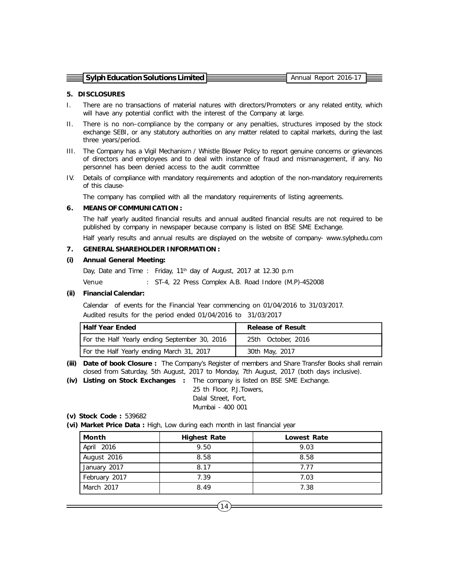| $\equiv$ Sylph Education Solutions Limited $\bar{\epsilon}$ | Annual Report 2016-17 |  |
|-------------------------------------------------------------|-----------------------|--|
|                                                             |                       |  |

#### **5. DISCLOSURES**

- I. There are no transactions of material natures with directors/Promoters or any related entity, which will have any potential conflict with the interest of the Company at large.
- II. There is no non–compliance by the company or any penalties, structures imposed by the stock exchange SEBI, or any statutory authorities on any matter related to capital markets, during the last three years/period.
- III. The Company has a Vigil Mechanism / Whistle Blower Policy to report genuine concerns or grievances of directors and employees and to deal with instance of fraud and mismanagement, if any. No personnel has been denied access to the audit committee
- IV. Details of compliance with mandatory requirements and adoption of the non-mandatory requirements of this clause-

The company has complied with all the mandatory requirements of listing agreements.

#### **6. MEANS OF COMMUNICATION :**

The half yearly audited financial results and annual audited financial results are not required to be published by company in newspaper because company is listed on BSE SME Exchange.

Half yearly results and annual results are displayed on the website of company- www.sylphedu.com

#### **7. GENERAL SHAREHOLDER INFORMATION :**

#### **(i) Annual General Meeting:**

Day, Date and Time : Friday, 11<sup>th</sup> day of August, 2017 at 12.30 p.m Venue : ST-4, 22 Press Complex A.B. Road Indore (M.P)-452008

#### **(ii) Financial Calendar:**

Calendar of events for the Financial Year commencing on 01/04/2016 to 31/03/2017. Audited results for the period ended 01/04/2016 to 31/03/2017

| Half Year Ended                               | <b>Release of Result</b> |  |
|-----------------------------------------------|--------------------------|--|
| For the Half Yearly ending September 30, 2016 | 25th October, 2016       |  |
| For the Half Yearly ending March 31, 2017     | 30th May, 2017           |  |

- **(iii) Date of book Closure :** The Company's Register of members and Share Transfer Books shall remain closed from Saturday, 5th August, 2017 to Monday, 7th August, 2017 (both days inclusive).
- **(iv) Listing on Stock Exchanges :** The company is listed on BSE SME Exchange.

25 th Floor, P.J.Towers, Dalal Street, Fort, Mumbai - 400 001

#### **(v) Stock Code :** 539682

**(vi) Market Price Data :** High, Low during each month in last financial year

| Month         | <b>Highest Rate</b> | <b>Lowest Rate</b> |
|---------------|---------------------|--------------------|
| April 2016    | 9.50                | 9.03               |
| August 2016   | 8.58                | 8.58               |
| January 2017  | 8.17                | 7.77               |
| February 2017 | 7.39                | 7.03               |
| March 2017    | 8.49                | 7.38               |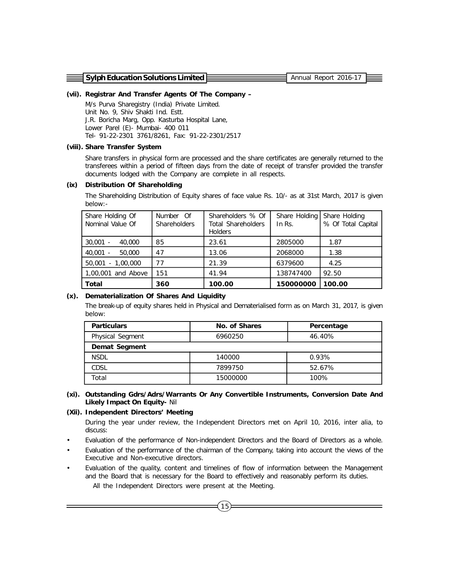**Sylph Education Solutions Limited Example 2016-17** Annual Report 2016-17

#### **(vii). Registrar And Transfer Agents Of The Company –**

M/s Purva Sharegistry (India) Private Limited. Unit No. 9, Shiv Shakti Ind. Estt. J.R. Boricha Marg, Opp. Kasturba Hospital Lane, Lower Parel (E)- Mumbai- 400 011 Tel- 91-22-2301 3761/8261, Fax: 91-22-2301/2517

#### **(viii). Share Transfer System**

Share transfers in physical form are processed and the share certificates are generally returned to the transferees within a period of fifteen days from the date of receipt of transfer provided the transfer documents lodged with the Company are complete in all respects.

#### **(ix) Distribution Of Shareholding**

The Shareholding Distribution of Equity shares of face value Rs. 10/- as at 31st March, 2017 is given below:-

| Share Holding Of<br>Nominal Value Of | Number Of<br><b>Shareholders</b> | Shareholders % Of<br><b>Total Shareholders</b><br><b>Holders</b> | Share Holding<br>In $Rs.$ | Share Holding<br>% Of Total Capital |
|--------------------------------------|----------------------------------|------------------------------------------------------------------|---------------------------|-------------------------------------|
| $30,001 -$<br>40,000                 | 85                               | 23.61                                                            | 2805000                   | 1.87                                |
| $40.001 -$<br>50,000                 | 47                               | 13.06                                                            | 2068000                   | 1.38                                |
| 50,001 - 1,00,000                    | 77                               | 21.39                                                            | 6379600                   | 4.25                                |
| 1,00,001 and Above                   | 151                              | 41.94                                                            | 138747400                 | 92.50                               |
| Total                                | 360                              | 100.00                                                           | 150000000                 | 100.00                              |

#### **(x). Dematerialization Of Shares And Liquidity**

The break-up of equity shares held in Physical and Dematerialised form as on March 31, 2017, is given below:

| <b>Particulars</b> | No. of Shares | Percentage |
|--------------------|---------------|------------|
| Physical Segment   | 6960250       | 46.40%     |
| Demat Segment      |               |            |
| <b>NSDL</b>        | 140000        | 0.93%      |
| CDSL               | 7899750       | 52.67%     |
| Total              | 15000000      | 100%       |

#### **(xi). Outstanding Gdrs/Adrs/Warrants Or Any Convertible Instruments, Conversion Date And Likely Impact On Equity-** Nil

#### **(Xii). Independent Directors' Meeting**

During the year under review, the Independent Directors met on April 10, 2016, inter alia, to discuss:

- Evaluation of the performance of Non-independent Directors and the Board of Directors as a whole.
- Evaluation of the performance of the chairman of the Company, taking into account the views of the Executive and Non-executive directors.
- Evaluation of the quality, content and timelines of flow of information between the Management and the Board that is necessary for the Board to effectively and reasonably perform its duties.

All the Independent Directors were present at the Meeting.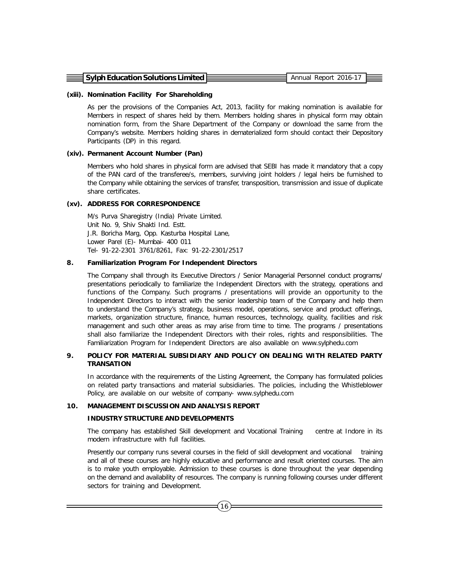| $\equiv$ Sylph Education Solutions Limited E | Annual Report 2016-17 |  |
|----------------------------------------------|-----------------------|--|
|                                              |                       |  |

#### **(xiii). Nomination Facility For Shareholding**

As per the provisions of the Companies Act, 2013, facility for making nomination is available for Members in respect of shares held by them. Members holding shares in physical form may obtain nomination form, from the Share Department of the Company or download the same from the Company's website. Members holding shares in dematerialized form should contact their Depository Participants (DP) in this regard.

#### **(xiv). Permanent Account Number (Pan)**

Members who hold shares in physical form are advised that SEBI has made it mandatory that a copy of the PAN card of the transferee/s, members, surviving joint holders / legal heirs be furnished to the Company while obtaining the services of transfer, transposition, transmission and issue of duplicate share certificates.

# **(xv). ADDRESS FOR CORRESPONDENCE**

M/s Purva Sharegistry (India) Private Limited. Unit No. 9, Shiv Shakti Ind. Estt. J.R. Boricha Marg, Opp. Kasturba Hospital Lane, Lower Parel (E)- Mumbai- 400 011 Tel- 91-22-2301 3761/8261, Fax: 91-22-2301/2517

#### **8. Familiarization Program For Independent Directors**

The Company shall through its Executive Directors / Senior Managerial Personnel conduct programs/ presentations periodically to familiarize the Independent Directors with the strategy, operations and functions of the Company. Such programs / presentations will provide an opportunity to the Independent Directors to interact with the senior leadership team of the Company and help them to understand the Company's strategy, business model, operations, service and product offerings, markets, organization structure, finance, human resources, technology, quality, facilities and risk management and such other areas as may arise from time to time. The programs / presentations shall also familiarize the Independent Directors with their roles, rights and responsibilities. The Familiarization Program for Independent Directors are also available on www.sylphedu.com

#### **9. POLICY FOR MATERIAL SUBSIDIARY AND POLICY ON DEALING WITH RELATED PARTY TRANSATION**

In accordance with the requirements of the Listing Agreement, the Company has formulated policies on related party transactions and material subsidiaries. The policies, including the Whistleblower Policy, are available on our website of company- www.sylphedu.com

#### **10. MANAGEMENT DISCUSSION AND ANALYSIS REPORT**

#### **INDUSTRY STRUCTURE AND DEVELOPMENTS**

The company has established Skill development and Vocational Training centre at Indore in its modern infrastructure with full facilities.

Presently our company runs several courses in the field of skill development and vocational training and all of these courses are highly educative and performance and result oriented courses. The aim is to make youth employable. Admission to these courses is done throughout the year depending on the demand and availability of resources. The company is running following courses under different sectors for training and Development.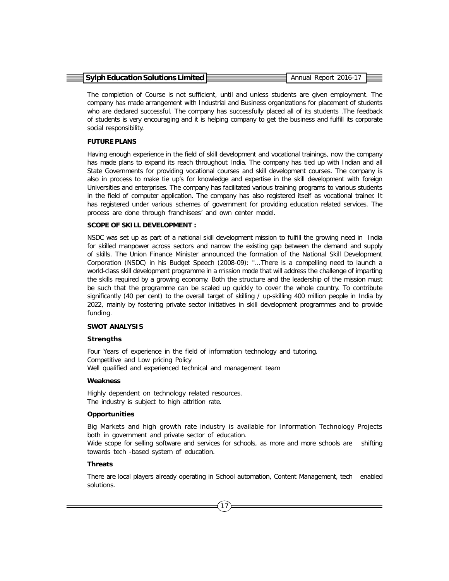| $\equiv$ Sylph Education Solutions Limited $E$ | Annual Report 2016-17 |  |
|------------------------------------------------|-----------------------|--|
|                                                |                       |  |

The completion of Course is not sufficient, until and unless students are given employment. The company has made arrangement with Industrial and Business organizations for placement of students who are declared successful. The company has successfully placed all of its students .The feedback of students is very encouraging and it is helping company to get the business and fulfill its corporate social responsibility.

#### **FUTURE PLANS**

Having enough experience in the field of skill development and vocational trainings, now the company has made plans to expand its reach throughout India. The company has tied up with Indian and all State Governments for providing vocational courses and skill development courses. The company is also in process to make tie up's for knowledge and expertise in the skill development with foreign Universities and enterprises. The company has facilitated various training programs to various students in the field of computer application. The company has also registered itself as vocational trainer. It has registered under various schemes of government for providing education related services. The process are done through franchisees' and own center model.

#### **SCOPE OF SKILL DEVELOPMENT :**

NSDC was set up as part of a national skill development mission to fulfill the growing need in India for skilled manpower across sectors and narrow the existing gap between the demand and supply of skills. The Union Finance Minister announced the formation of the National Skill Development Corporation (NSDC) in his Budget Speech (2008-09): "...There is a compelling need to launch a world-class skill development programme in a mission mode that will address the challenge of imparting the skills required by a growing economy. Both the structure and the leadership of the mission must be such that the programme can be scaled up quickly to cover the whole country. To contribute significantly (40 per cent) to the overall target of skilling / up-skilling 400 million people in India by 2022, mainly by fostering private sector initiatives in skill development programmes and to provide funding.

## **SWOT ANALYSIS**

#### **Strengths**

Four Years of experience in the field of information technology and tutoring. Competitive and Low pricing Policy Well qualified and experienced technical and management team

#### **Weakness**

Highly dependent on technology related resources. The industry is subject to high attrition rate.

#### **Opportunities**

Big Markets and high growth rate industry is available for Information Technology Projects both in government and private sector of education.

Wide scope for selling software and services for schools, as more and more schools are shifting towards tech -based system of education.

#### **Threats**

There are local players already operating in School automation, Content Management, tech enabled solutions.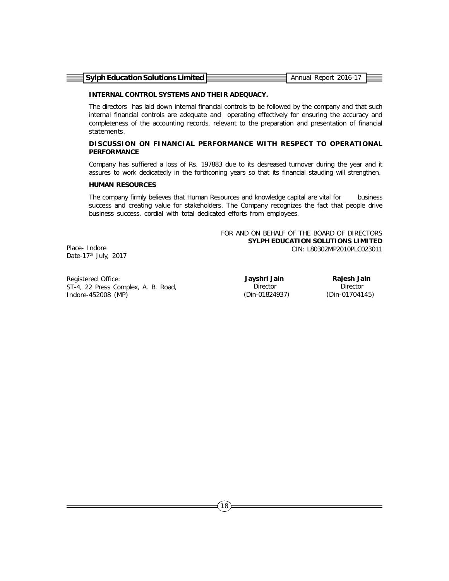| $\equiv$ Sylph Education Solutions Limited $\equiv$ | Annual Report 2016-17 |  |
|-----------------------------------------------------|-----------------------|--|

#### **INTERNAL CONTROL SYSTEMS AND THEIR ADEQUACY.**

The directors has laid down internal financial controls to be followed by the company and that such internal financial controls are adequate and operating effectively for ensuring the accuracy and completeness of the accounting records, relevant to the preparation and presentation of financial statements.

#### **DISCUSSION ON FINANCIAL PERFORMANCE WITH RESPECT TO OPERATIONAL PERFORMANCE**

Company has suffiered a loss of Rs. 197883 due to its desreased turnover during the year and it assures to work dedicatedly in the forthconing years so that its financial stauding will strengthen.

#### **HUMAN RESOURCES**

The company firmly believes that Human Resources and knowledge capital are vital for business success and creating value for stakeholders. The Company recognizes the fact that people drive business success, cordial with total dedicated efforts from employees.

> FOR AND ON BEHALF OF THE BOARD OF DIRECTORS **SYLPH EDUCATION SOLUTIONS LIMITED** CIN: L80302MP2010PLC023011

Place- Indore Date-17<sup>th</sup> July, 2017

Registered Office: ST-4, 22 Press Complex, A. B. Road, Indore-452008 (MP)

 **Jayshri Jain** Director (Din-01824937)

 **Rajesh Jain** Director (Din-01704145)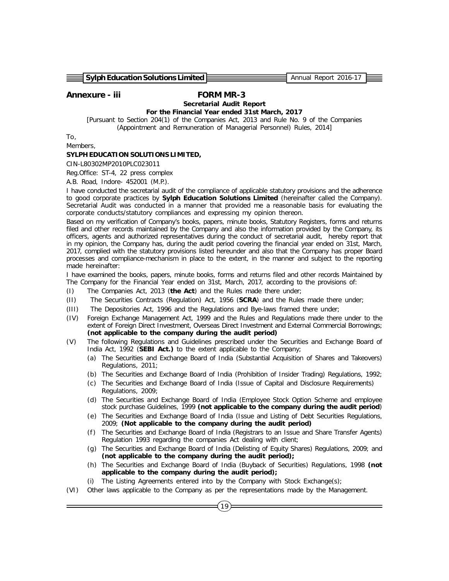**Sylph Education Solutions Limited Annual Report 2016-17** Annual Report 2016-17

# *Annexure - iii FORM MR-3 Secretarial Audit Report*

*For the Financial Year ended 31st March, 2017 [Pursuant to Section 204(1) of the Companies Act, 2013 and Rule No. 9 of the Companies (Appointment and Remuneration of Managerial Personnel) Rules, 2014]*

To,

Members,

#### **SYLPH EDUCATION SOLUTIONS LIMITED,**

CIN-L80302MP2010PLC023011

Reg.Office: ST-4, 22 press complex

A.B. Road, Indore- 452001 (M.P.).

I have conducted the secretarial audit of the compliance of applicable statutory provisions and the adherence to good corporate practices by **Sylph Education Solutions Limited** (hereinafter called the Company). Secretarial Audit was conducted in a manner that provided me a reasonable basis for evaluating the corporate conducts/statutory compliances and expressing my opinion thereon.

Based on my verification of Company's books, papers, minute books, Statutory Registers, forms and returns filed and other records maintained by the Company and also the information provided by the Company, its officers, agents and authorized representatives during the conduct of secretarial audit, hereby report that in my opinion, the Company has, during the audit period covering the financial year ended on 31st, March, 2017, complied with the statutory provisions listed hereunder and also that the Company has proper Board processes and compliance-mechanism in place to the extent, in the manner and subject to the reporting made hereinafter:

I have examined the books, papers, minute books, forms and returns filed and other records Maintained by The Company for the Financial Year ended on 31st, March, 2017, according to the provisions of:

- (I) The Companies Act, 2013 (**the Act**) and the Rules made there under;
- (II) The Securities Contracts (Regulation) Act, 1956 (**SCRA**) and the Rules made there under;
- (III) The Depositories Act, 1996 and the Regulations and Bye-laws framed there under;
- (IV) Foreign Exchange Management Act, 1999 and the Rules and Regulations made there under to the extent of Foreign Direct Investment, Overseas Direct Investment and External Commercial Borrowings; *(not applicable to the company during the audit period)*
- (V) The following Regulations and Guidelines prescribed under the Securities and Exchange Board of India Act, 1992 (**SEBI Act.)** to the extent applicable to the Company;
	- (a) The Securities and Exchange Board of India (Substantial Acquisition of Shares and Takeovers) Regulations, 2011;
	- (b) The Securities and Exchange Board of India (Prohibition of Insider Trading) Regulations, 1992;
	- (c) The Securities and Exchange Board of India (Issue of Capital and Disclosure Requirements) Regulations, 2009;
	- (d) The Securities and Exchange Board of India (Employee Stock Option Scheme and employee stock purchase Guidelines, 1999 *(not applicable to the company during the audit period)*
	- (e) The Securities and Exchange Board of India (Issue and Listing of Debt Securities Regulations, 2009; *(Not applicable to the company during the audit period)*
	- (f) The Securities and Exchange Board of India (Registrars to an Issue and Share Transfer Agents) Regulation 1993 regarding the companies Act dealing with client;
	- (g) The Securities and Exchange Board of India (Delisting of Equity Shares) Regulations, 2009; and *(not applicable to the company during the audit period);*
	- (h) The Securities and Exchange Board of India (Buyback of Securities) Regulations, 1998 *(not applicable to the company during the audit period);*
	- The Listing Agreements entered into by the Company with Stock Exchange(s);
- (VI) Other laws applicable to the Company as per the representations made by the Management.

19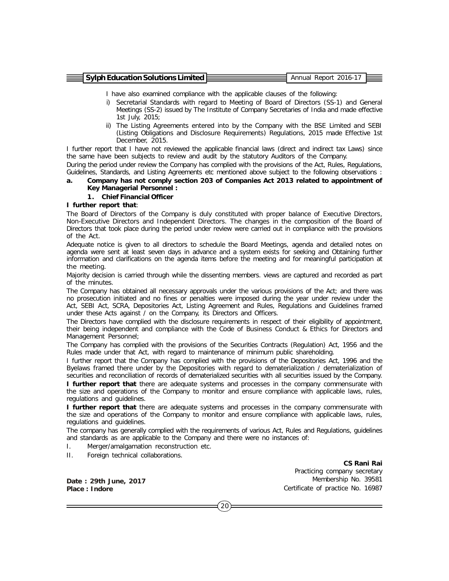| $\equiv$ Sylph Education Solutions Limited E | Annual Report 2016-17 |  |
|----------------------------------------------|-----------------------|--|
|                                              |                       |  |

I have also examined compliance with the applicable clauses of the following:

- i) Secretarial Standards with regard to Meeting of Board of Directors (SS-1) and General Meetings (SS-2) issued by The Institute of Company Secretaries of India and made effective 1st July, 2015;
- ii) The Listing Agreements entered into by the Company with the BSE Limited and SEBI (Listing Obligations and Disclosure Requirements) Regulations, 2015 made Effective 1st December, 2015.

I further report that I have not reviewed the applicable financial laws (direct and indirect tax Laws) since the same have been subjects to review and audit by the statutory Auditors of the Company.

During the period under review the Company has complied with the provisions of the Act, Rules, Regulations, Guidelines, Standards, and Listing Agreements etc mentioned above subject to the following observations :

#### **a. Company has not comply section 203 of Companies Act 2013 related to appointment of Key Managerial Personnel :**

**1. Chief Financial Officer**

#### **I further report that**:

The Board of Directors of the Company is duly constituted with proper balance of Executive Directors, Non-Executive Directors and Independent Directors. The changes in the composition of the Board of Directors that took place during the period under review were carried out in compliance with the provisions of the Act.

Adequate notice is given to all directors to schedule the Board Meetings, agenda and detailed notes on agenda were sent at least seven days in advance and a system exists for seeking and Obtaining further information and clarifications on the agenda items before the meeting and for meaningful participation at the meeting.

Majority decision is carried through while the dissenting members. views are captured and recorded as part of the minutes.

The Company has obtained all necessary approvals under the various provisions of the Act; and there was no prosecution initiated and no fines or penalties were imposed during the year under review under the Act, SEBI Act, SCRA, Depositories Act, Listing Agreement and Rules, Regulations and Guidelines framed under these Acts against / on the Company, its Directors and Officers.

The Directors have complied with the disclosure requirements in respect of their eligibility of appointment, their being independent and compliance with the Code of Business Conduct & Ethics for Directors and Management Personnel;

The Company has complied with the provisions of the Securities Contracts (Regulation) Act, 1956 and the Rules made under that Act, with regard to maintenance of minimum public shareholding.

I further report that the Company has complied with the provisions of the Depositories Act, 1996 and the Byelaws framed there under by the Depositories with regard to dematerialization / dematerialization of securities and reconciliation of records of dematerialized securities with all securities issued by the Company.

**I further report that** there are adequate systems and processes in the company commensurate with the size and operations of the Company to monitor and ensure compliance with applicable laws, rules, regulations and guidelines.

**I further report that** there are adequate systems and processes in the company commensurate with the size and operations of the Company to monitor and ensure compliance with applicable laws, rules, regulations and guidelines.

The company has generally complied with the requirements of various Act, Rules and Regulations, guidelines and standards as are applicable to the Company and there were no instances of:

- I. Merger/amalgamation reconstruction etc.
- II. Foreign technical collaborations.

**Date : 29th June, 2017 Place : Indore**

**CS Rani Rai** Practicing company secretary Membership No. 39581 Certificate of practice No. 16987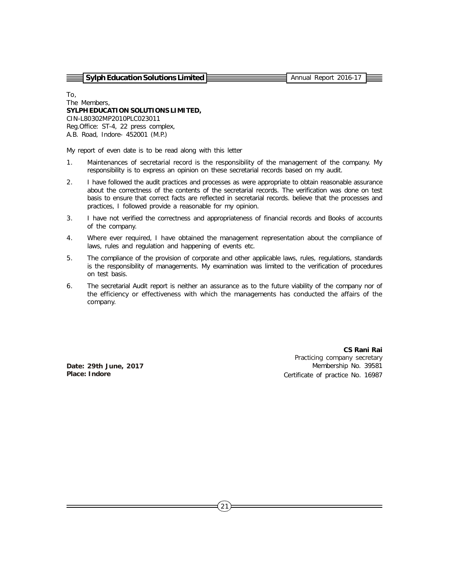**Sylph Education Solutions Limited Annual Report 2016-17** Annual Report 2016-17

To, The Members, **SYLPH EDUCATION SOLUTIONS LIMITED,** CIN-L80302MP2010PLC023011 Reg.Office: ST-4, 22 press complex, A.B. Road, Indore- 452001 (M.P.)

My report of even date is to be read along with this letter

- 1. Maintenances of secretarial record is the responsibility of the management of the company. My responsibility is to express an opinion on these secretarial records based on my audit.
- 2. I have followed the audit practices and processes as were appropriate to obtain reasonable assurance about the correctness of the contents of the secretarial records. The verification was done on test basis to ensure that correct facts are reflected in secretarial records. believe that the processes and practices, I followed provide a reasonable for my opinion.
- 3. I have not verified the correctness and appropriateness of financial records and Books of accounts of the company.
- 4. Where ever required, I have obtained the management representation about the compliance of laws, rules and regulation and happening of events etc.
- 5. The compliance of the provision of corporate and other applicable laws, rules, regulations, standards is the responsibility of managements. My examination was limited to the verification of procedures on test basis.
- 6. The secretarial Audit report is neither an assurance as to the future viability of the company nor of the efficiency or effectiveness with which the managements has conducted the affairs of the company.

**Date: 29th June, 2017 Place: Indore**

**CS Rani Rai** Practicing company secretary Membership No. 39581 Certificate of practice No. 16987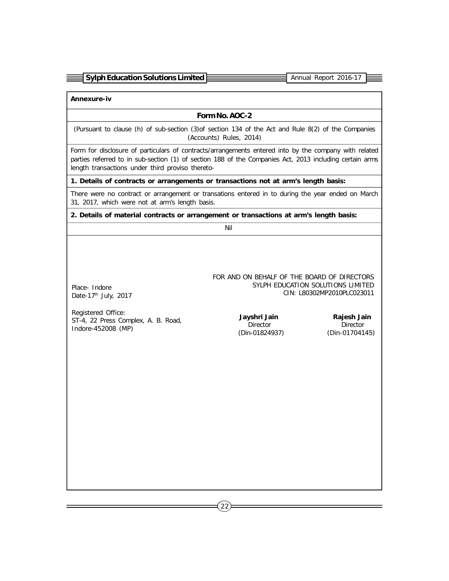| $\equiv$ Sylph Education Solutions Limited | Annual Report 2016-1 |  |
|--------------------------------------------|----------------------|--|
|                                            |                      |  |

**Annexure-iv**

Place- Indore Date-17<sup>th</sup> July, 2017 **Form No. AOC-2**

(Pursuant to clause (h) of sub-section (3)of section 134 of the Act and Rule 8(2) of the Companies (Accounts) Rules, 2014)

Form for disclosure of particulars of contracts/arrangements entered into by the company with related parties referred to in sub-section (1) of section 188 of the Companies Act, 2013 including certain arms length transactions under third proviso thereto-

**1. Details of contracts or arrangements or transactions not at arm's length basis:**

There were no contract or arrangement or transations entered in to during the year ended on March 31, 2017, which were not at arm's length basis.

**2. Details of material contracts or arrangement or transactions at arm's length basis:**

Nil

FOR AND ON BEHALF OF THE BOARD OF DIRECTORS SYLPH EDUCATION SOLUTIONS LIMITED CIN: L80302MP2010PLC023011

Registered Office: ST-4, 22 Press Complex, A. B. Road, Indore-452008 (MP)

 **Jayshri Jain** Director (Din-01824937)

 **Rajesh Jain** Director (Din-01704145)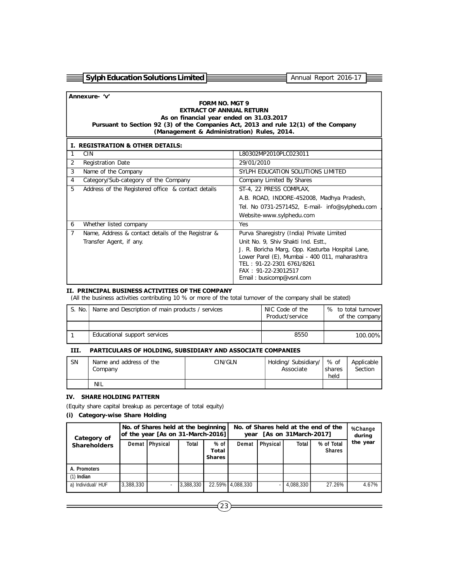| $\equiv$ Sylph Education Solutions Limited E | . Annual Report 2016-17 |  |
|----------------------------------------------|-------------------------|--|
|                                              |                         |  |

# **Annexure- 'v'**

#### **FORM NO. MGT 9 EXTRACT OF ANNUAL RETURN As on financial year ended on 31.03.2017 Pursuant to Section 92 (3) of the Companies Act, 2013 and rule 12(1) of the Company (Management & Administration) Rules, 2014.**

|                | <b>I. REGISTRATION &amp; OTHER DETAILS:</b>        |                                                                             |
|----------------|----------------------------------------------------|-----------------------------------------------------------------------------|
|                | <b>CIN</b>                                         | L80302MP2010PLC023011                                                       |
| 2              | <b>Registration Date</b>                           | 29/01/2010                                                                  |
| 3              | Name of the Company                                | SYLPH EDUCATION SOLUTIONS LIMITED                                           |
| $\overline{4}$ | Category/Sub-category of the Company               | Company Limited By Shares                                                   |
| 5              | Address of the Registered office & contact details | ST-4, 22 PRESS COMPLAX,                                                     |
|                |                                                    | A.B. ROAD, INDORE-452008, Madhya Pradesh,                                   |
|                |                                                    | Tel. No 0731-2571452, E-mail- info@sylphedu.com                             |
|                |                                                    | Website-www.sylphedu.com                                                    |
| 6              | Whether listed company                             | Yes                                                                         |
| $\overline{7}$ | Name, Address & contact details of the Registrar & | Purva Sharegistry (India) Private Limited                                   |
|                | Transfer Agent, if any.                            | Unit No. 9, Shiv Shakti Ind. Estt.,                                         |
|                |                                                    | J. R. Boricha Marg, Opp. Kasturba Hospital Lane,                            |
|                |                                                    | Lower Parel (E), Mumbai - 400 011, maharashtra<br>TEL: 91-22-2301 6761/8261 |
|                |                                                    | FAX: 91-22-23012517                                                         |
|                |                                                    | Email: busicomp@vsnl.com                                                    |
|                |                                                    |                                                                             |

#### **II. PRINCIPAL BUSINESS ACTIVITIES OF THE COMPANY**

(All the business activities contributing 10 % or more of the total turnover of the company shall be stated)

| S. No. | Name and Description of main products / services | NIC Code of the<br>Product/service | % to total turnover<br>of the company |
|--------|--------------------------------------------------|------------------------------------|---------------------------------------|
|        |                                                  |                                    |                                       |
|        | Educational support services                     | 8550                               | 100.00%                               |

#### **III. PARTICULARS OF HOLDING, SUBSIDIARY AND ASSOCIATE COMPANIES**

| -SN | Name and address of the<br>Company | CIN/GLN | Holding/Subsidiary/<br>Associate | % of<br>shares<br>held | Applicable<br>Section |
|-----|------------------------------------|---------|----------------------------------|------------------------|-----------------------|
|     | <b>NIL</b>                         |         |                                  |                        |                       |

#### **IV. SHARE HOLDING PATTERN**

(Equity share capital breakup as percentage of total equity)

# **(i) Category-wise Share Holding**

| Category of         | No. of Shares held at the beginning<br>of the year [As on 31-March-2016] |                  |           | No. of Shares held at the end of the<br>[As on 31March-2017]<br>year |                  |          |           | %Change<br>during           |          |  |
|---------------------|--------------------------------------------------------------------------|------------------|-----------|----------------------------------------------------------------------|------------------|----------|-----------|-----------------------------|----------|--|
| <b>Shareholders</b> |                                                                          | Demat   Physical | Total     | $%$ of<br>Total<br><b>Shares</b>                                     | Demat            | Physical | Total     | % of Total<br><b>Shares</b> | the year |  |
| A. Promoters        |                                                                          |                  |           |                                                                      |                  |          |           |                             |          |  |
| $(1)$ Indian        |                                                                          |                  |           |                                                                      |                  |          |           |                             |          |  |
| a) Individual/ HUF  | 3,388,330                                                                |                  | 3,388,330 |                                                                      | 22.59% 4,088,330 |          | 4,088,330 | 27.26%                      | 4.67%    |  |

 $(23)$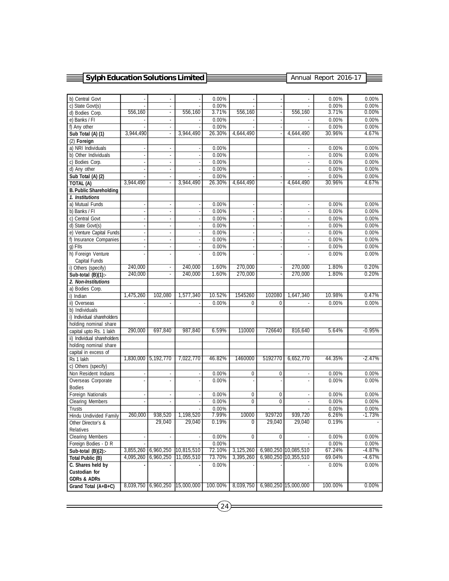| <b>Sylph Education Solutions Limited</b>       |                     |                             |            |          |                          | Annual Report 2016-17    |                             |          |          |
|------------------------------------------------|---------------------|-----------------------------|------------|----------|--------------------------|--------------------------|-----------------------------|----------|----------|
|                                                |                     |                             |            |          |                          |                          |                             |          |          |
| b) Central Govt                                |                     |                             |            | 0.00%    |                          |                          |                             | 0.00%    | 0.00%    |
| c) State Govt(s)                               |                     | ÷,                          |            | 0.00%    |                          |                          |                             | 0.00%    | 0.00%    |
| d) Bodies Corp.                                | 556,160             | $\overline{\phantom{a}}$    | 556.160    | 3.71%    | 556.160                  | $\overline{\phantom{a}}$ | 556.160                     | 3.71%    | $0.00\%$ |
| e) Banks / FI                                  |                     | ÷                           |            | 0.00%    |                          |                          |                             | 0.00%    | 0.00%    |
| f) Any other                                   |                     | $\overline{\phantom{a}}$    |            | 0.00%    |                          |                          |                             | 0.00%    | 0.00%    |
| Sub Total (A) (1)                              | 3,944,490           | $\blacksquare$              | 3,944,490  | 26.30%   | 4,644,490                |                          | 4,644,490                   | 30.96%   | 4.67%    |
| (2) Foreign                                    |                     |                             |            |          |                          |                          |                             |          |          |
| a) NRI Individuals                             |                     | $\mathcal{L}_{\mathcal{A}}$ |            | 0.00%    |                          |                          | $\mathcal{L}_{\mathcal{A}}$ | 0.00%    | 0.00%    |
| b) Other Individuals                           | ÷,                  | $\overline{\phantom{a}}$    |            | 0.00%    |                          |                          | ×,                          | 0.00%    | 0.00%    |
| c) Bodies Corp.                                |                     | ×,                          |            | 0.00%    |                          |                          |                             | 0.00%    | 0.00%    |
| d) Any other                                   |                     | $\overline{\phantom{a}}$    |            | 0.00%    |                          |                          |                             | 0.00%    | 0.00%    |
| Sub Total (A) (2)                              |                     | $\overline{\phantom{a}}$    |            | 0.00%    |                          |                          |                             | 0.00%    | 0.00%    |
| TOTAL (A)                                      | 3,944,490           | $\overline{\phantom{a}}$    | 3,944,490  | 26.30%   | 4,644,490                |                          | 4,644,490                   | 30.96%   | 4.67%    |
| <b>B. Public Shareholding</b>                  |                     |                             |            |          |                          |                          |                             |          |          |
| 1. Institutions                                |                     |                             |            |          |                          |                          |                             |          |          |
| a) Mutual Funds                                |                     | $\overline{\phantom{a}}$    |            | 0.00%    |                          |                          | $\overline{\phantom{a}}$    | 0.00%    | 0.00%    |
| b) Banks / FI                                  |                     | $\overline{\phantom{a}}$    |            | 0.00%    |                          |                          | ×,                          | 0.00%    | 0.00%    |
| c) Central Govt                                | J.                  | ÷.                          |            | 0.00%    | J.                       |                          | ÷.                          | 0.00%    | 0.00%    |
| d) State Govt(s)                               | ÷,                  | ÷                           |            | 0.00%    | ä,                       |                          | ä,                          | 0.00%    | 0.00%    |
| e) Venture Capital Funds                       |                     | ×,                          |            | 0.00%    | ÷,                       |                          | ÷,                          | 0.00%    | 0.00%    |
| f) Insurance Companies                         | ÷,                  | $\overline{\phantom{a}}$    |            | 0.00%    | ÷,                       |                          | ÷                           | 0.00%    | 0.00%    |
| q) FIIs                                        |                     | $\overline{\phantom{a}}$    |            | 0.00%    | $\overline{\phantom{a}}$ |                          | $\overline{\phantom{a}}$    | 0.00%    | 0.00%    |
| h) Foreign Venture                             |                     | ä,                          |            | 0.00%    |                          |                          | L.                          | 0.00%    | 0.00%    |
| Capital Funds                                  | 240,000             |                             | 240,000    | 1.60%    | 270.000                  |                          | 270,000                     | 1.80%    | 0.20%    |
| i) Others (specify)                            | 240,000             | $\Box$                      |            |          | 270,000                  | ÷                        | 270,000                     | 1.80%    |          |
| Sub-total (B)(1):-                             |                     | $\blacksquare$              | 240,000    | 1.60%    |                          |                          |                             |          | 0.20%    |
| 2. Non-Institutions                            |                     |                             |            |          |                          |                          |                             |          |          |
| a) Bodies Corp.<br>i) Indian                   | 1,475,260           | 102,080                     | 1,577,340  | 10.52%   | 1545260                  | 102080                   | 1,647,340                   | 10.98%   | 0.47%    |
| ii) Overseas                                   |                     |                             |            | 0.00%    | $\Omega$                 | $\theta$                 |                             | 0.00%    | 0.00%    |
| b) Individuals                                 |                     |                             |            |          |                          |                          |                             |          |          |
| i) Individual shareholders                     |                     |                             |            |          |                          |                          |                             |          |          |
| holding nominal share                          |                     |                             |            |          |                          |                          |                             |          |          |
| capital upto Rs. 1 lakh                        | 290,000             | 697,840                     | 987,840    | 6.59%    | 110000                   | 726640                   | 816,640                     | 5.64%    | $-0.95%$ |
| ii) Individual shareholders                    |                     |                             |            |          |                          |                          |                             |          |          |
| holding nominal share                          |                     |                             |            |          |                          |                          |                             |          |          |
| capital in excess of                           |                     |                             |            |          |                          |                          |                             |          |          |
| Rs 1 lakh                                      |                     | 1.830.000 5.192.770         | 7,022,770  | 46.82%   | 1460000                  | 5192770                  | 6,652,770                   | 44.35%   | $-2.47%$ |
| c) Others (specify)                            |                     |                             |            |          |                          |                          |                             |          |          |
| Non Resident Indians                           |                     | ÷.                          |            | 0.00%    | 0                        | $\bf{0}$                 | ä,                          | 0.00%    | 0.00%    |
| Overseas Corporate                             |                     | ÷,                          |            | 0.00%    |                          |                          | $\overline{\phantom{a}}$    | 0.00%    | 0.00%    |
| <b>Bodies</b>                                  |                     |                             |            |          |                          |                          |                             |          |          |
| <b>Foreign Nationals</b>                       |                     | $\overline{\phantom{a}}$    |            | 0.00%    | 0                        | 0                        | ÷.                          | 0.00%    | 0.00%    |
| Clearing Members                               |                     |                             |            | $0.00\%$ | 0                        | 0                        |                             | $0.00\%$ | $0.00\%$ |
| Trusts                                         |                     |                             |            | 0.00%    |                          |                          |                             | 0.00%    | 0.00%    |
| Hindu Undivided Family                         | 260,000             | 938,520                     | 1,198,520  | 7.99%    | 10000                    | 929720                   | 939,720                     | 6.26%    | $-1.73%$ |
| Other Director's &                             |                     | 29,040                      | 29,040     | 0.19%    | 0                        | 29,040                   | 29,040                      | 0.19%    |          |
| Relatives                                      |                     |                             |            |          |                          |                          |                             |          |          |
| <b>Clearing Members</b>                        |                     | $\overline{\phantom{a}}$    |            | 0.00%    | 0                        | $\pmb{0}$                |                             | 0.00%    | 0.00%    |
| Foreign Bodies - D R                           |                     |                             |            | 0.00%    |                          |                          |                             | 0.00%    | 0.00%    |
| Sub-total $(B)(2)$ :                           | 3,855,260           | 6,960,250                   | 10,815,510 | 72.10%   | 3,125,260                |                          | 6,980,250 10,085,510        | 67.24%   | $-4.87%$ |
| <b>Total Public (B)</b>                        | 4,095,260           | 6,960,250                   | 11,055,510 | 73.70%   | 3,395,260                |                          | 6,980,250 10,355,510        | 69.04%   | -4.67%   |
| C. Shares held by                              |                     |                             |            | 0.00%    |                          |                          |                             | 0.00%    | 0.00%    |
| <b>Custodian for</b><br><b>GDRs &amp; ADRs</b> |                     |                             |            |          |                          |                          |                             |          |          |
| Grand Total (A+B+C)                            | 8,039,750 6,960,250 |                             | 15,000,000 | 100.00%  | 8,039,750                |                          | 6,980,250 15,000,000        | 100.00%  | 0.00%    |
|                                                |                     |                             |            |          |                          |                          |                             |          |          |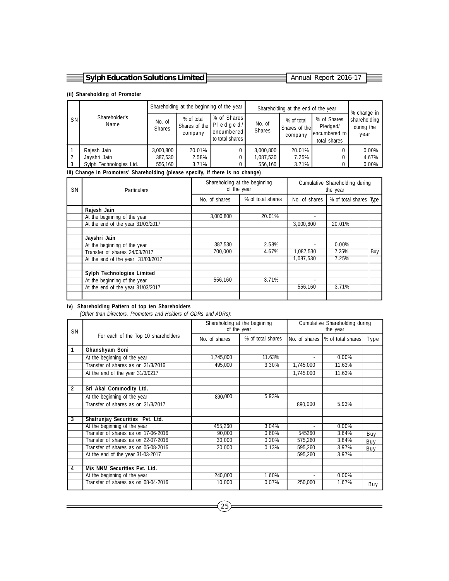| $\equiv$ Sylph Education Solutions Limited $\approx$ | . Annual Report 2016-17 |  |
|------------------------------------------------------|-------------------------|--|
|                                                      |                         |  |

#### **(ii) Shareholding of Promoter**

|           |                         |                         | Shareholding at the beginning of the year |                                                             |                         | Shareholding at the end of the year    |                                                             |                                                   |
|-----------|-------------------------|-------------------------|-------------------------------------------|-------------------------------------------------------------|-------------------------|----------------------------------------|-------------------------------------------------------------|---------------------------------------------------|
| <b>SN</b> | Shareholder's<br>Name   | No. of<br><b>Shares</b> | % of total<br>Shares of the<br>company    | % of Shares<br>$P$ ledged/<br>encumbered<br>to total shares | No. of<br><b>Shares</b> | % of total<br>Shares of the<br>company | % of Shares<br>Pledged/<br>lencumbered to I<br>total shares | % change in<br>shareholding<br>during the<br>year |
|           | Rajesh Jain             | 3,000,800               | 20.01%                                    |                                                             | 3,000,800               | 20.01%                                 |                                                             | 0.00%                                             |
|           | Jayshri Jain            | 387,530                 | 2.58%                                     |                                                             | 1,087,530               | 7.25%                                  |                                                             | 4.67%                                             |
|           | Sylph Technologies Ltd. | 556,160                 | 3.71%                                     |                                                             | 556.160                 | 3.71%                                  |                                                             | 0.00%                                             |

#### **iii) Change in Promoters' Shareholding (please specify, if there is no change)**

| SΝ | <b>Particulars</b>                |               | Shareholding at the beginning<br>of the year | Cumulative Shareholding during<br>the year |                        |     |
|----|-----------------------------------|---------------|----------------------------------------------|--------------------------------------------|------------------------|-----|
|    |                                   | No. of shares | % of total shares                            | No. of shares                              | % of total shares Type |     |
|    | Rajesh Jain                       |               |                                              |                                            |                        |     |
|    | At the beginning of the year      | 3.000.800     | 20.01%                                       | ٠                                          |                        |     |
|    | At the end of the year 31/03/2017 |               |                                              | 3.000.800                                  | 20.01%                 |     |
|    |                                   |               |                                              |                                            |                        |     |
|    | Jayshri Jain                      |               |                                              |                                            |                        |     |
|    | At the beginning of the year      | 387,530       | 2.58%                                        |                                            | 0.00%                  |     |
|    | Transfer of shares 24/03/2017     | 700.000       | 4.67%                                        | 1,087,530                                  | 7.25%                  | Buy |
|    | At the end of the year 31/03/2017 |               |                                              | 1.087.530                                  | 7.25%                  |     |
|    |                                   |               |                                              |                                            |                        |     |
|    | <b>Sylph Technologies Limited</b> |               |                                              |                                            |                        |     |
|    | At the beginning of the year      | 556.160       | 3.71%                                        |                                            |                        |     |
|    | At the end of the year 31/03/2017 |               |                                              | 556,160                                    | 3.71%                  |     |
|    |                                   |               |                                              |                                            |                        |     |

#### **iv) Shareholding Pattern of top ten Shareholders**

 *(Other than Directors, Promoters and Holders of GDRs and ADRs):*

| <b>SN</b>               |                                     | Shareholding at the beginning<br>of the year |                   | Cumulative Shareholding during<br>the year |                   |      |
|-------------------------|-------------------------------------|----------------------------------------------|-------------------|--------------------------------------------|-------------------|------|
|                         | For each of the Top 10 shareholders | No. of shares                                | % of total shares | No. of shares                              | % of total shares | Type |
| 1                       | Ghanshyam Soni                      |                                              |                   |                                            |                   |      |
|                         | At the beginning of the year        | 1,745,000                                    | 11.63%            |                                            | 0.00%             |      |
|                         | Transfer of shares as on 31/3/2016  | 495,000                                      | 3.30%             | 1,745,000                                  | 11.63%            |      |
|                         | At the end of the year 31/3/0217    |                                              |                   | 1,745,000                                  | 11.63%            |      |
|                         |                                     |                                              |                   |                                            |                   |      |
| $\overline{2}$          | Sri Akal Commodity Ltd.             |                                              |                   |                                            |                   |      |
|                         | At the beginning of the year        | 890,000                                      | 5.93%             |                                            |                   |      |
|                         | Transfer of shares as on 31/3/2017  |                                              |                   | 890,000                                    | 5.93%             |      |
|                         |                                     |                                              |                   |                                            |                   |      |
| $\overline{\mathbf{3}}$ | Shatrunjay Securities Pvt. Ltd.     |                                              |                   |                                            |                   |      |
|                         | At the beginning of the year        | 455,260                                      | 3.04%             |                                            | 0.00%             |      |
|                         | Transfer of shares as on 17-06-2016 | 90.000                                       | 0.60%             | 545260                                     | 3.64%             | Buy  |
|                         | Transfer of shares as on 22-07-2016 | 30,000                                       | 0.20%             | 575,260                                    | 3.84%             | Buy  |
|                         | Transfer of shares as on 05-08-2016 | 20,000                                       | 0.13%             | 595,260                                    | 3.97%             | Buy  |
|                         | At the end of the year 31-03-2017   |                                              |                   | 595,260                                    | 3.97%             |      |
|                         |                                     |                                              |                   |                                            |                   |      |
| 4                       | <b>M/s NNM Securities Pvt. Ltd.</b> |                                              |                   |                                            |                   |      |
|                         | At the beginning of the year        | 240.000                                      | 1.60%             |                                            | 0.00%             |      |
|                         | Transfer of shares as on 08-04-2016 | 10,000                                       | 0.07%             | 250,000                                    | 1.67%             | Buy  |
|                         |                                     |                                              |                   |                                            |                   |      |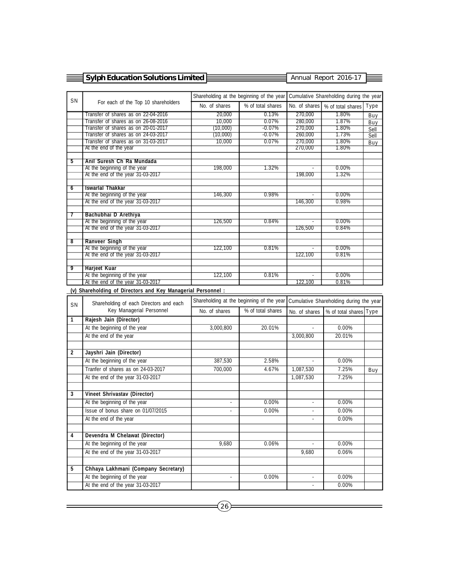|                | <b>Sylph Education Solutions Limited</b> |               |                                           | Annual Report 2016-17                   |                   |      |
|----------------|------------------------------------------|---------------|-------------------------------------------|-----------------------------------------|-------------------|------|
|                |                                          |               |                                           |                                         |                   |      |
| <b>SN</b>      |                                          |               | Shareholding at the beginning of the year | Cumulative Shareholding during the year |                   |      |
|                | For each of the Top 10 shareholders      | No. of shares | % of total shares                         | No. of shares                           | % of total shares | Type |
|                | Transfer of shares as on 22-04-2016      | 20,000        | 0.13%                                     | 270,000                                 | 1.80%             | Buy  |
|                | Transfer of shares as on 26-08-2016      | 10,000        | 0.07%                                     | 280,000                                 | 1.87%             | Buy  |
|                | Transfer of shares as on 20-01-2017      | (10,000)      | $-0.07\%$                                 | 270.000                                 | $1.80\%$          | Sell |
|                | Transfer of shares as on 24-03-2017      | (10,000)      | $-0.07%$                                  | 260.000                                 | 1.73%             | Sell |
|                | Transfer of shares as on 31-03-2017      | 10,000        | 0.07%                                     | 270.000                                 | 1.80%             | Buy  |
|                | At the end of the year                   |               |                                           | 270.000                                 | $1.80\%$          |      |
|                |                                          |               |                                           |                                         |                   |      |
| 5              | Anil Suresh Ch Ra Mundada                |               |                                           |                                         |                   |      |
|                | At the beginning of the year             | 198,000       | 1.32%                                     |                                         | $0.00\%$          |      |
|                | At the end of the year 31-03-2017        |               |                                           | 198.000                                 | 1.32%             |      |
| $\overline{6}$ | <b>Iswarlal Thakkar</b>                  |               |                                           |                                         |                   |      |
|                | At the beginning of the year             | 146,300       | 0.98%                                     |                                         | $0.00\%$          |      |
|                | At the end of the year 31-03-2017        |               |                                           | 146,300                                 | 0.98%             |      |
|                |                                          |               |                                           |                                         |                   |      |
| 7              | Bachubhai D Arethiya                     |               |                                           |                                         |                   |      |
|                | At the beginning of the year             | 126,500       | 0.84%                                     |                                         | $0.00\%$          |      |
|                | At the end of the year 31-03-2017        |               |                                           | 126.500                                 | 0.84%             |      |
|                |                                          |               |                                           |                                         |                   |      |
| ष्ठ            | <b>Ranveer Singh</b>                     |               |                                           |                                         |                   |      |
|                | At the beginning of the year             | 122,100       | 0.81%                                     | $\sim$                                  | $0.00\%$          |      |
|                | At the end of the year 31-03-2017        |               |                                           | 122,100                                 | 0.81%             |      |
| 9              | <b>Harjeet Kuar</b>                      |               |                                           |                                         |                   |      |
|                | At the beginning of the year             | 122,100       | 0.81%                                     |                                         | 0.00%             |      |
|                | At the end of the year 31-03-2017        |               |                                           | 122,100                                 | 0.81%             |      |

# **(v) Shareholding of Directors and Key Managerial Personnel :**

| <b>SN</b>      | Shareholding of each Directors and each |                          |                   | Shareholding at the beginning of the year Cumulative Shareholding during the year |                        |     |
|----------------|-----------------------------------------|--------------------------|-------------------|-----------------------------------------------------------------------------------|------------------------|-----|
|                | Key Managerial Personnel                | No. of shares            | % of total shares | No. of shares                                                                     | % of total shares Type |     |
| 1              | Rajesh Jain (Director)                  |                          |                   |                                                                                   |                        |     |
|                | At the beginning of the year            | 3,000,800                | 20.01%            |                                                                                   | 0.00%                  |     |
|                | At the end of the year                  |                          |                   | 3,000,800                                                                         | 20.01%                 |     |
|                |                                         |                          |                   |                                                                                   |                        |     |
| $\overline{2}$ | Jayshri Jain (Director)                 |                          |                   |                                                                                   |                        |     |
|                | At the beginning of the year            | 387,530                  | 2.58%             |                                                                                   | 0.00%                  |     |
|                | Tranfer of shares as on 24-03-2017      | 700,000                  | 4.67%             | 1,087,530                                                                         | 7.25%                  | Buy |
|                | At the end of the year 31-03-2017       |                          |                   | 1,087,530                                                                         | 7.25%                  |     |
|                |                                         |                          |                   |                                                                                   |                        |     |
| 3              | <b>Vineet Shrivastav (Director)</b>     |                          |                   |                                                                                   |                        |     |
|                | At the beginning of the year            | $\overline{\phantom{a}}$ | 0.00%             |                                                                                   | 0.00%                  |     |
|                | Issue of bonus share on 01/07/2015      |                          | 0.00%             |                                                                                   | 0.00%                  |     |
|                | At the end of the year                  |                          |                   |                                                                                   | 0.00%                  |     |
|                |                                         |                          |                   |                                                                                   |                        |     |
| 4              | Devendra M Chelawat (Director)          |                          |                   |                                                                                   |                        |     |
|                | At the beginning of the year            | 9.680                    | 0.06%             |                                                                                   | 0.00%                  |     |
|                | At the end of the year 31-03-2017       |                          |                   | 9,680                                                                             | 0.06%                  |     |
|                |                                         |                          |                   |                                                                                   |                        |     |
| 5              | Chhaya Lakhmani (Company Secretary)     |                          |                   |                                                                                   |                        |     |
|                | At the beginning of the year            |                          | 0.00%             |                                                                                   | 0.00%                  |     |
|                | At the end of the year 31-03-2017       |                          |                   |                                                                                   | 0.00%                  |     |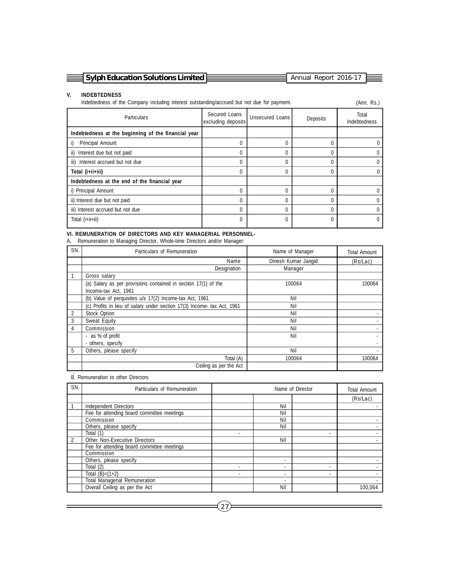| $\equiv$ Sylph Education Solutions Limited $\equiv$ | Annual Report 2016-17 |  |
|-----------------------------------------------------|-----------------------|--|

#### **V. INDEBTEDNESS**

Indebtedness of the Company including interest outstanding/accrued but not due for payment. (Amt. Rs.)

| <b>Particulars</b>                                  | Secured Loans<br>excluding deposits | Unsecured Loans | Deposits | Total<br>Indebtedness |
|-----------------------------------------------------|-------------------------------------|-----------------|----------|-----------------------|
| Indebtedness at the beginning of the financial year |                                     |                 |          |                       |
| Principal Amount<br>i)                              | O                                   | 0               |          | 0                     |
| ii) Interest due but not paid                       | O                                   | 0               |          |                       |
| iii) Interest accrued but not due                   |                                     | 0               |          |                       |
| Total (i+ii+iii)                                    | O                                   | 0               |          | 0                     |
| Indebtedness at the end of the financial year       |                                     |                 |          |                       |
| i) Principal Amount                                 | U                                   | $\Omega$        |          | 0                     |
| ii) Interest due but not paid                       | 0                                   | $\mathbf{0}$    |          | 0                     |
| iii) Interest accrued but not due                   | 0                                   | 0               |          | 0                     |
| Total (i+ii+iii)                                    | 0                                   | 0               |          | 0                     |
|                                                     |                                     |                 |          |                       |

# **VI. REMUNERATION OF DIRECTORS AND KEY MANAGERIAL PERSONNEL-**

A**.** Remuneration to Managing Director, Whole-time Directors and/or Manager:

| SN. | Particulars of Remuneration                                             | Name of Manager     | <b>Total Amount</b> |
|-----|-------------------------------------------------------------------------|---------------------|---------------------|
|     | Name                                                                    | Dinesh Kumar Jangid | (Rs/Lac)            |
|     | Designation                                                             | Manager             |                     |
|     | Gross salary                                                            |                     |                     |
|     | (a) Salary as per provisions contained in section 17(1) of the          | 100064              | 100064              |
|     | Income-tax Act, 1961                                                    |                     |                     |
|     | (b) Value of perquisites u/s 17(2) Income-tax Act, 1961                 | Nil                 |                     |
|     | (c) Profits in lieu of salary under section 17(3) Income- tax Act, 1961 | Nil                 |                     |
| 2   | <b>Stock Option</b>                                                     | Nil                 |                     |
| 3   | Sweat Equity                                                            | Nil                 |                     |
| 4   | Commission                                                              | Nil                 |                     |
|     | - as % of profit                                                        | Nil                 |                     |
|     | - others, specify                                                       |                     |                     |
| 5   | Others, please specify                                                  | Nil                 |                     |
|     | Total (A)                                                               | 100064              | 100064              |
|     | Ceiling as per the Act                                                  |                     |                     |

- B. Remuneration to other Directors

| SN. | Particulars of Remuneration                | Name of Director |     |   | <b>Total Amount</b> |
|-----|--------------------------------------------|------------------|-----|---|---------------------|
|     |                                            |                  |     |   | (Rs/Lac)            |
|     | Independent Directors                      |                  | Nil |   |                     |
|     | Fee for attending board committee meetings |                  | Nil |   |                     |
|     | Commission                                 |                  | Nil |   |                     |
|     | Others, please specify                     |                  | Nil |   |                     |
|     | Total (1)                                  |                  |     | ٠ |                     |
|     | Other Non-Executive Directors              |                  | Nil |   |                     |
|     | Fee for attending board committee meetings |                  |     |   |                     |
|     | Commission                                 |                  |     |   |                     |
|     | Others, please specify                     |                  |     |   |                     |
|     | Total (2)                                  |                  |     | ٠ |                     |
|     | Total $(B)=(1+2)$                          |                  |     | ٠ |                     |
|     | <b>Total Managerial Remuneration</b>       |                  |     |   |                     |
|     | Overall Ceiling as per the Act             |                  | Nil |   | 100.064             |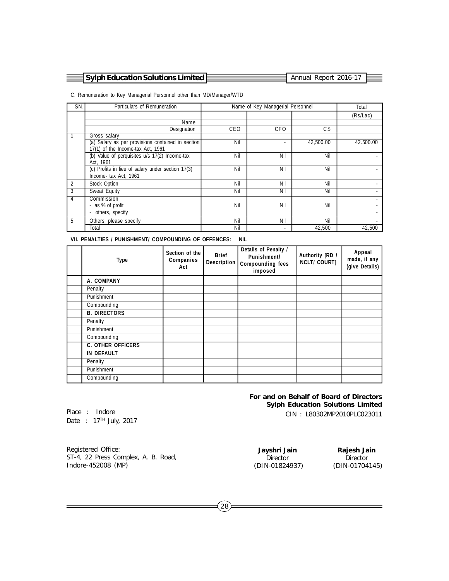| 국 Sylph Education Solutions Limited E |
|---------------------------------------|
|---------------------------------------|

Annual Report 2016-17

C. Remuneration to Key Managerial Personnel other than MD/Manager/WTD

| SN. | Particulars of Remuneration                       |            | Name of Key Managerial Personnel |           | Total     |
|-----|---------------------------------------------------|------------|----------------------------------|-----------|-----------|
|     |                                                   |            |                                  |           | (Rs/Lac)  |
|     | Name                                              |            |                                  |           |           |
|     | Designation                                       | <b>CEO</b> | <b>CFO</b>                       | CS.       |           |
|     | Gross salary                                      |            |                                  |           |           |
|     | (a) Salary as per provisions contained in section | Nil        |                                  | 42,500.00 | 42.500.00 |
|     | 17(1) of the Income-tax Act, 1961                 |            |                                  |           |           |
|     | (b) Value of perquisites u/s 17(2) Income-tax     | Nil        | Nil                              | Nil       |           |
|     | Act, 1961                                         |            |                                  |           |           |
|     | (c) Profits in lieu of salary under section 17(3) | Nil        | Nil                              | Nil       |           |
|     | Income- tax Act, 1961                             |            |                                  |           |           |
| 2   | <b>Stock Option</b>                               | Nil        | Nil                              | Nil       |           |
| 3   | Sweat Equity                                      | Nil        | Nil                              | Nil       |           |
| 4   | Commission                                        |            |                                  |           |           |
|     | - as % of profit                                  | Nil        | Nil                              | Nil       |           |
|     | others, specify                                   |            |                                  |           |           |
| 5   | Others, please specify                            | Nil        | Nil                              | Nil       |           |
|     | Total                                             | Nil        |                                  | 42,500    | 42,500    |

**VII. PENALTIES / PUNISHMENT/ COMPOUNDING OF OFFENCES: NIL**

| <b>Type</b>              | Section of the<br>Companies<br>Act | <b>Brief</b><br><b>Description</b> | Details of Penalty /<br>Punishment/<br><b>Compounding fees</b><br>imposed | Authority [RD /<br><b>NCLT/ COURT]</b> | Appeal<br>made, if any<br>(give Details) |
|--------------------------|------------------------------------|------------------------------------|---------------------------------------------------------------------------|----------------------------------------|------------------------------------------|
| A. COMPANY               |                                    |                                    |                                                                           |                                        |                                          |
| Penalty                  |                                    |                                    |                                                                           |                                        |                                          |
| Punishment               |                                    |                                    |                                                                           |                                        |                                          |
| Compounding              |                                    |                                    |                                                                           |                                        |                                          |
| <b>B. DIRECTORS</b>      |                                    |                                    |                                                                           |                                        |                                          |
| Penalty                  |                                    |                                    |                                                                           |                                        |                                          |
| Punishment               |                                    |                                    |                                                                           |                                        |                                          |
| Compounding              |                                    |                                    |                                                                           |                                        |                                          |
| <b>C. OTHER OFFICERS</b> |                                    |                                    |                                                                           |                                        |                                          |
| <b>IN DEFAULT</b>        |                                    |                                    |                                                                           |                                        |                                          |
| Penalty                  |                                    |                                    |                                                                           |                                        |                                          |
| Punishment               |                                    |                                    |                                                                           |                                        |                                          |
| Compounding              |                                    |                                    |                                                                           |                                        |                                          |

#### **For and on Behalf of Board of Directors Sylph Education Solutions Limited**

CIN : L80302MP2010PLC023011

Place : Indore Date : 17<sup>TH</sup> July, 2017

(DIN-01824937)

**Jayshri Jain** Rajesh Jain<br>Director Director Director Director<br>N-01824937) (DIN-01704145)

Registered Office: ST-4, 22 Press Complex, A. B. Road, Indore-452008 (MP)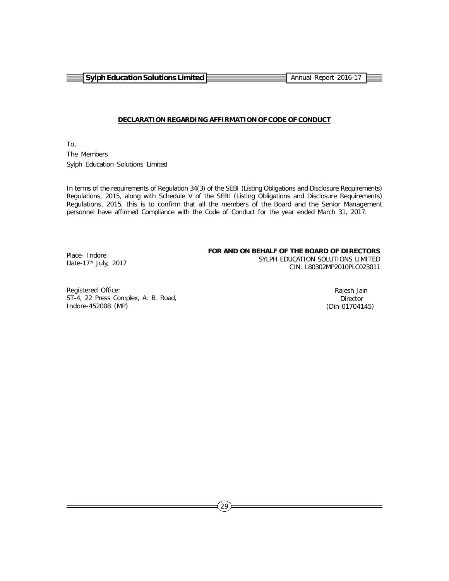**Sylph Education Solutions Limited Annual Report 2016-17** Annual Report 2016-17

#### **DECLARATION REGARDING AFFIRMATION OF CODE OF CONDUCT**

To, The Members Sylph Education Solutions Limited

In terms of the requirements of Regulation 34(3) of the SEBI (Listing Obligations and Disclosure Requirements) Regulations, 2015, along with Schedule V of the SEBI (Listing Obligations and Disclosure Requirements) Regulations, 2015, this is to confirm that all the members of the Board and the Senior Management personnel have affirmed Compliance with the Code of Conduct for the year ended March 31, 2017.

#### **FOR AND ON BEHALF OF THE BOARD OF DIRECTORS**

Place- Indore Date-17<sup>th</sup> July, 2017

 SYLPH EDUCATION SOLUTIONS LIMITED CIN: L80302MP2010PLC023011

Registered Office: ST-4, 22 Press Complex, A. B. Road, Indore-452008 (MP)

 Rajesh Jain **Director** (Din-01704145)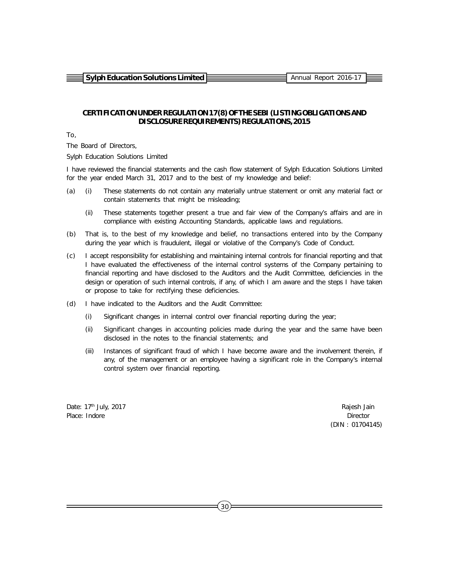**Sylph Education Solutions Limited <b>Annual Report 2016-17** Annual Report 2016-17

# **CERTIFICATION UNDER REGULATION 17(8) OF THE SEBI (LISTING OBLIGATIONS AND DISCLOSURE REQUIREMENTS) REGULATIONS, 2015**

To,

The Board of Directors,

Sylph Education Solutions Limited

I have reviewed the financial statements and the cash flow statement of Sylph Education Solutions Limited for the year ended March 31, 2017 and to the best of my knowledge and belief:

- (a) (i) These statements do not contain any materially untrue statement or omit any material fact or contain statements that might be misleading;
	- (ii) These statements together present a true and fair view of the Company's affairs and are in compliance with existing Accounting Standards, applicable laws and regulations.
- (b) That is, to the best of my knowledge and belief, no transactions entered into by the Company during the year which is fraudulent, illegal or violative of the Company's Code of Conduct.
- (c) I accept responsibility for establishing and maintaining internal controls for financial reporting and that I have evaluated the effectiveness of the internal control systems of the Company pertaining to financial reporting and have disclosed to the Auditors and the Audit Committee, deficiencies in the design or operation of such internal controls, if any, of which I am aware and the steps I have taken or propose to take for rectifying these deficiencies.
- (d) I have indicated to the Auditors and the Audit Committee:
	- (i) Significant changes in internal control over financial reporting during the year;
	- (ii) Significant changes in accounting policies made during the year and the same have been disclosed in the notes to the financial statements; and
	- (iii) Instances of significant fraud of which I have become aware and the involvement therein, if any, of the management or an employee having a significant role in the Company's internal control system over financial reporting.

Date: 17<sup>th</sup> July, 2017 **Rajesh Jain** Place: Indore Director Director Director Director Director Director Director Director

(DIN : 01704145)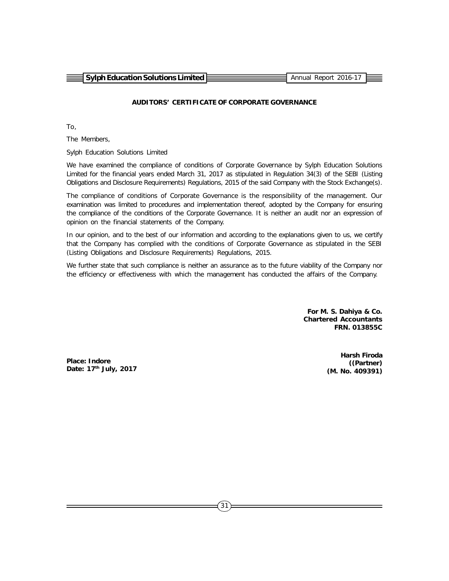| $\equiv$ Sylph Education Solutions Limited $\equiv$ | Annual Report 2016-17 |  |
|-----------------------------------------------------|-----------------------|--|
|                                                     |                       |  |

# **AUDITORS' CERTIFICATE OF CORPORATE GOVERNANCE**

To,

The Members,

Sylph Education Solutions Limited

We have examined the compliance of conditions of Corporate Governance by Sylph Education Solutions Limited for the financial years ended March 31, 2017 as stipulated in Regulation 34(3) of the SEBI (Listing Obligations and Disclosure Requirements) Regulations, 2015 of the said Company with the Stock Exchange(s).

The compliance of conditions of Corporate Governance is the responsibility of the management. Our examination was limited to procedures and implementation thereof, adopted by the Company for ensuring the compliance of the conditions of the Corporate Governance. It is neither an audit nor an expression of opinion on the financial statements of the Company.

In our opinion, and to the best of our information and according to the explanations given to us, we certify that the Company has complied with the conditions of Corporate Governance as stipulated in the SEBI (Listing Obligations and Disclosure Requirements) Regulations, 2015.

We further state that such compliance is neither an assurance as to the future viability of the Company nor the efficiency or effectiveness with which the management has conducted the affairs of the Company.

> **For M. S. Dahiya & Co. Chartered Accountants FRN. 013855C**

**Place: Indore Date: 17th July, 2017**

**Harsh Firoda ((Partner) (M. No. 409391)**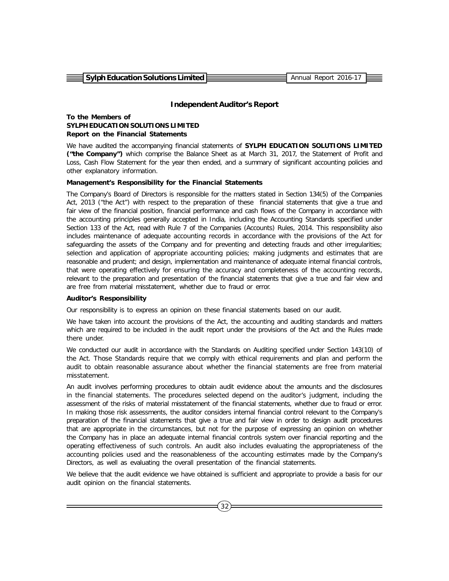**Sylph Education Solutions Limited Annual Report 2016-17** Annual Report 2016-17

#### **Independent Auditor's Report**

#### **To the Members of SYLPH EDUCATION SOLUTIONS LIMITED Report on the Financial Statements**

We have audited the accompanying financial statements of **SYLPH EDUCATION SOLUTIONS LIMITED ("the Company")** which comprise the Balance Sheet as at March 31, 2017, the Statement of Profit and Loss, Cash Flow Statement for the year then ended, and a summary of significant accounting policies and other explanatory information.

#### **Management's Responsibility for the Financial Statements**

The Company's Board of Directors is responsible for the matters stated in Section 134(5) of the Companies Act, 2013 ("the Act") with respect to the preparation of these financial statements that give a true and fair view of the financial position, financial performance and cash flows of the Company in accordance with the accounting principles generally accepted in India, including the Accounting Standards specified under Section 133 of the Act, read with Rule 7 of the Companies (Accounts) Rules, 2014. This responsibility also includes maintenance of adequate accounting records in accordance with the provisions of the Act for safeguarding the assets of the Company and for preventing and detecting frauds and other irregularities; selection and application of appropriate accounting policies; making judgments and estimates that are reasonable and prudent; and design, implementation and maintenance of adequate internal financial controls, that were operating effectively for ensuring the accuracy and completeness of the accounting records, relevant to the preparation and presentation of the financial statements that give a true and fair view and are free from material misstatement, whether due to fraud or error.

#### **Auditor's Responsibility**

Our responsibility is to express an opinion on these financial statements based on our audit.

We have taken into account the provisions of the Act, the accounting and auditing standards and matters which are required to be included in the audit report under the provisions of the Act and the Rules made there under.

We conducted our audit in accordance with the Standards on Auditing specified under Section 143(10) of the Act. Those Standards require that we comply with ethical requirements and plan and perform the audit to obtain reasonable assurance about whether the financial statements are free from material misstatement.

An audit involves performing procedures to obtain audit evidence about the amounts and the disclosures in the financial statements. The procedures selected depend on the auditor's judgment, including the assessment of the risks of material misstatement of the financial statements, whether due to fraud or error. In making those risk assessments, the auditor considers internal financial control relevant to the Company's preparation of the financial statements that give a true and fair view in order to design audit procedures that are appropriate in the circumstances, but not for the purpose of expressing an opinion on whether the Company has in place an adequate internal financial controls system over financial reporting and the operating effectiveness of such controls. An audit also includes evaluating the appropriateness of the accounting policies used and the reasonableness of the accounting estimates made by the Company's Directors, as well as evaluating the overall presentation of the financial statements.

We believe that the audit evidence we have obtained is sufficient and appropriate to provide a basis for our audit opinion on the financial statements.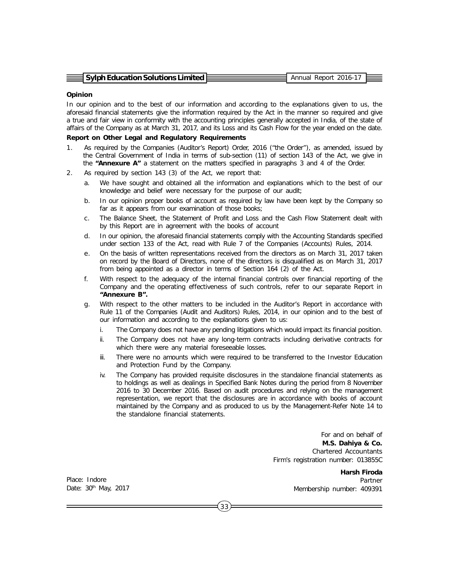| $\equiv$ Sylph Education Solutions Limited $\equiv$ | Annual Report 2016-17 |  |
|-----------------------------------------------------|-----------------------|--|

#### **Opinion**

In our opinion and to the best of our information and according to the explanations given to us, the aforesaid financial statements give the information required by the Act in the manner so required and give a true and fair view in conformity with the accounting principles generally accepted in India, of the state of affairs of the Company as at March 31, 2017, and its Loss and its Cash Flow for the year ended on the date.

#### **Report on Other Legal and Regulatory Requirements**

- 1. As required by the Companies (Auditor's Report) Order, 2016 ("the Order"), as amended, issued by the Central Government of India in terms of sub-section (11) of section 143 of the Act, we give in the **"Annexure A"** a statement on the matters specified in paragraphs 3 and 4 of the Order.
- 2. As required by section 143 (3) of the Act, we report that:
	- a. We have sought and obtained all the information and explanations which to the best of our knowledge and belief were necessary for the purpose of our audit;
	- b. In our opinion proper books of account as required by law have been kept by the Company so far as it appears from our examination of those books;
	- c. The Balance Sheet, the Statement of Profit and Loss and the Cash Flow Statement dealt with by this Report are in agreement with the books of account
	- d. In our opinion, the aforesaid financial statements comply with the Accounting Standards specified under section 133 of the Act, read with Rule 7 of the Companies (Accounts) Rules, 2014.
	- e. On the basis of written representations received from the directors as on March 31, 2017 taken on record by the Board of Directors, none of the directors is disqualified as on March 31, 2017 from being appointed as a director in terms of Section 164 (2) of the Act.
	- f. With respect to the adequacy of the internal financial controls over financial reporting of the Company and the operating effectiveness of such controls, refer to our separate Report in **"Annexure B".**
	- g. With respect to the other matters to be included in the Auditor's Report in accordance with Rule 11 of the Companies (Audit and Auditors) Rules, 2014, in our opinion and to the best of our information and according to the explanations given to us:
		- i. The Company does not have any pending litigations which would impact its financial position.
		- ii. The Company does not have any long-term contracts including derivative contracts for which there were any material foreseeable losses.
		- iii. There were no amounts which were required to be transferred to the Investor Education and Protection Fund by the Company.
		- iv. The Company has provided requisite disclosures in the standalone financial statements as to holdings as well as dealings in Specified Bank Notes during the period from 8 November 2016 to 30 December 2016. Based on audit procedures and relying on the management representation, we report that the disclosures are in accordance with books of account maintained by the Company and as produced to us by the Management-Refer Note 14 to the standalone financial statements.

For and on behalf of **M.S. Dahiya & Co.** Chartered Accountants Firm's registration number: 013855C

Place: Indore Date: 30<sup>th</sup> May, 2017

**Harsh Firoda** Partner Membership number: 409391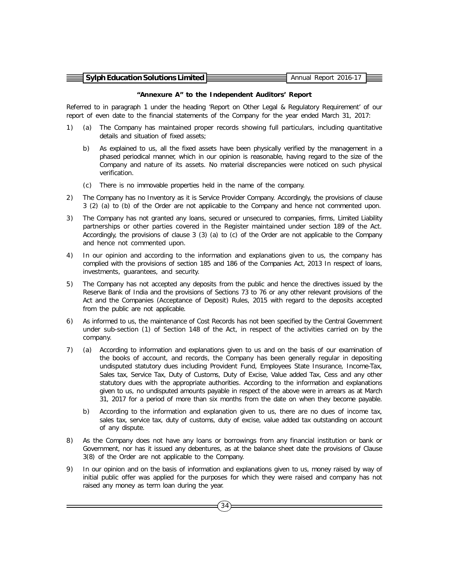| $\equiv$ Sylph Education Solutions Limited $\equiv$ | Annual Report 2016-17 |  |
|-----------------------------------------------------|-----------------------|--|

#### **"Annexure A" to the Independent Auditors' Report**

Referred to in paragraph 1 under the heading 'Report on Other Legal & Regulatory Requirement' of our report of even date to the financial statements of the Company for the year ended March 31, 2017:

- 1) (a) The Company has maintained proper records showing full particulars, including quantitative details and situation of fixed assets;
	- b) As explained to us, all the fixed assets have been physically verified by the management in a phased periodical manner, which in our opinion is reasonable, having regard to the size of the Company and nature of its assets. No material discrepancies were noticed on such physical verification.
	- (c) There is no immovable properties held in the name of the company.
- 2) The Company has no Inventory as it is Service Provider Company. Accordingly, the provisions of clause 3 (2) (a) to (b) of the Order are not applicable to the Company and hence not commented upon.
- 3) The Company has not granted any loans, secured or unsecured to companies, firms, Limited Liability partnerships or other parties covered in the Register maintained under section 189 of the Act. Accordingly, the provisions of clause 3 (3) (a) to (c) of the Order are not applicable to the Company and hence not commented upon.
- 4) In our opinion and according to the information and explanations given to us, the company has complied with the provisions of section 185 and 186 of the Companies Act, 2013 In respect of loans, investments, guarantees, and security.
- 5) The Company has not accepted any deposits from the public and hence the directives issued by the Reserve Bank of India and the provisions of Sections 73 to 76 or any other relevant provisions of the Act and the Companies (Acceptance of Deposit) Rules, 2015 with regard to the deposits accepted from the public are not applicable.
- 6) As informed to us, the maintenance of Cost Records has not been specified by the Central Government under sub-section (1) of Section 148 of the Act, in respect of the activities carried on by the company.
- 7) (a) According to information and explanations given to us and on the basis of our examination of the books of account, and records, the Company has been generally regular in depositing undisputed statutory dues including Provident Fund, Employees State Insurance, Income-Tax, Sales tax, Service Tax, Duty of Customs, Duty of Excise, Value added Tax, Cess and any other statutory dues with the appropriate authorities. According to the information and explanations given to us, no undisputed amounts payable in respect of the above were in arrears as at March 31, 2017 for a period of more than six months from the date on when they become payable.
	- b) According to the information and explanation given to us, there are no dues of income tax, sales tax, service tax, duty of customs, duty of excise, value added tax outstanding on account of any dispute.
- 8) As the Company does not have any loans or borrowings from any financial institution or bank or Government, nor has it issued any debentures, as at the balance sheet date the provisions of Clause 3(8) of the Order are not applicable to the Company.
- 9) In our opinion and on the basis of information and explanations given to us, money raised by way of initial public offer was applied for the purposes for which they were raised and company has not raised any money as term loan during the year.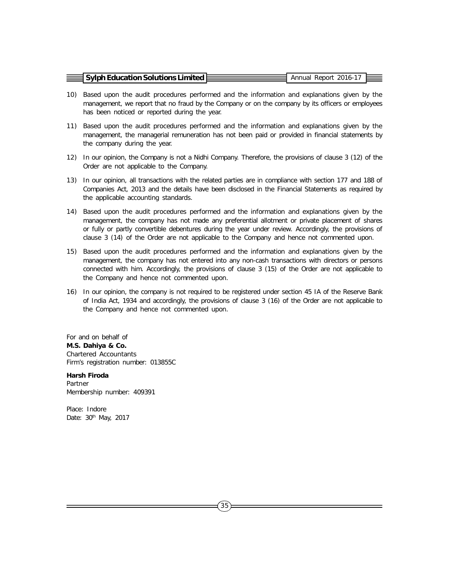| $\equiv$ Sylph Education Solutions Limited $\bar{\epsilon}$ | Annual Report 2016-17 |  |
|-------------------------------------------------------------|-----------------------|--|
|                                                             |                       |  |

- 10) Based upon the audit procedures performed and the information and explanations given by the management, we report that no fraud by the Company or on the company by its officers or employees has been noticed or reported during the year.
- 11) Based upon the audit procedures performed and the information and explanations given by the management, the managerial remuneration has not been paid or provided in financial statements by the company during the year.
- 12) In our opinion, the Company is not a Nidhi Company. Therefore, the provisions of clause 3 (12) of the Order are not applicable to the Company.
- 13) In our opinion, all transactions with the related parties are in compliance with section 177 and 188 of Companies Act, 2013 and the details have been disclosed in the Financial Statements as required by the applicable accounting standards.
- 14) Based upon the audit procedures performed and the information and explanations given by the management, the company has not made any preferential allotment or private placement of shares or fully or partly convertible debentures during the year under review. Accordingly, the provisions of clause 3 (14) of the Order are not applicable to the Company and hence not commented upon.
- 15) Based upon the audit procedures performed and the information and explanations given by the management, the company has not entered into any non-cash transactions with directors or persons connected with him. Accordingly, the provisions of clause 3 (15) of the Order are not applicable to the Company and hence not commented upon.
- 16) In our opinion, the company is not required to be registered under section 45 IA of the Reserve Bank of India Act, 1934 and accordingly, the provisions of clause 3 (16) of the Order are not applicable to the Company and hence not commented upon.

For and on behalf of **M.S. Dahiya & Co.** Chartered Accountants Firm's registration number: 013855C

**Harsh Firoda** Partner Membership number: 409391

Place: Indore Date: 30<sup>th</sup> May, 2017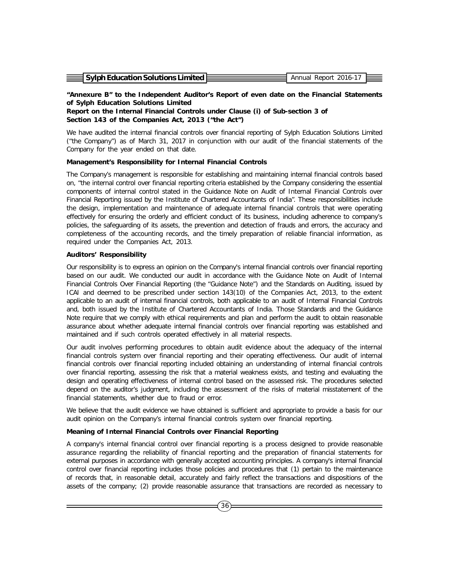| $\equiv$ Sylph Education Solutions Limited $\equiv$ | Annual Report 2016-17 |  |
|-----------------------------------------------------|-----------------------|--|
|                                                     |                       |  |
|                                                     |                       |  |

# **"Annexure B" to the Independent Auditor's Report of even date on the Financial Statements of Sylph Education Solutions Limited**

**Report on the Internal Financial Controls under Clause (i) of Sub-section 3 of Section 143 of the Companies Act, 2013 ("the Act")**

We have audited the internal financial controls over financial reporting of Sylph Education Solutions Limited ("the Company") as of March 31, 2017 in conjunction with our audit of the financial statements of the Company for the year ended on that date.

#### **Management's Responsibility for Internal Financial Controls**

The Company's management is responsible for establishing and maintaining internal financial controls based on, "the internal control over financial reporting criteria established by the Company considering the essential components of internal control stated in the Guidance Note on Audit of Internal Financial Controls over Financial Reporting issued by the Institute of Chartered Accountants of India". These responsibilities include the design, implementation and maintenance of adequate internal financial controls that were operating effectively for ensuring the orderly and efficient conduct of its business, including adherence to company's policies, the safeguarding of its assets, the prevention and detection of frauds and errors, the accuracy and completeness of the accounting records, and the timely preparation of reliable financial information, as required under the Companies Act, 2013.

## **Auditors' Responsibility**

Our responsibility is to express an opinion on the Company's internal financial controls over financial reporting based on our audit. We conducted our audit in accordance with the Guidance Note on Audit of Internal Financial Controls Over Financial Reporting (the "Guidance Note") and the Standards on Auditing, issued by ICAI and deemed to be prescribed under section 143(10) of the Companies Act, 2013, to the extent applicable to an audit of internal financial controls, both applicable to an audit of Internal Financial Controls and, both issued by the Institute of Chartered Accountants of India. Those Standards and the Guidance Note require that we comply with ethical requirements and plan and perform the audit to obtain reasonable assurance about whether adequate internal financial controls over financial reporting was established and maintained and if such controls operated effectively in all material respects.

Our audit involves performing procedures to obtain audit evidence about the adequacy of the internal financial controls system over financial reporting and their operating effectiveness. Our audit of internal financial controls over financial reporting included obtaining an understanding of internal financial controls over financial reporting, assessing the risk that a material weakness exists, and testing and evaluating the design and operating effectiveness of internal control based on the assessed risk. The procedures selected depend on the auditor's judgment, including the assessment of the risks of material misstatement of the financial statements, whether due to fraud or error.

We believe that the audit evidence we have obtained is sufficient and appropriate to provide a basis for our audit opinion on the Company's internal financial controls system over financial reporting.

#### **Meaning of Internal Financial Controls over Financial Reporting**

A company's internal financial control over financial reporting is a process designed to provide reasonable assurance regarding the reliability of financial reporting and the preparation of financial statements for external purposes in accordance with generally accepted accounting principles. A company's internal financial control over financial reporting includes those policies and procedures that (1) pertain to the maintenance of records that, in reasonable detail, accurately and fairly reflect the transactions and dispositions of the assets of the company; (2) provide reasonable assurance that transactions are recorded as necessary to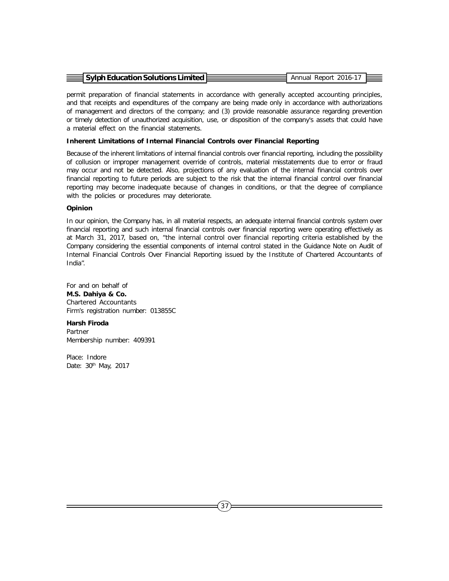| $\equiv$ Sylph Education Solutions Limited $\approx$ |  | Annual Report 2016-17 |  |
|------------------------------------------------------|--|-----------------------|--|
|                                                      |  |                       |  |

permit preparation of financial statements in accordance with generally accepted accounting principles, and that receipts and expenditures of the company are being made only in accordance with authorizations of management and directors of the company; and (3) provide reasonable assurance regarding prevention or timely detection of unauthorized acquisition, use, or disposition of the company's assets that could have a material effect on the financial statements.

#### **Inherent Limitations of Internal Financial Controls over Financial Reporting**

Because of the inherent limitations of internal financial controls over financial reporting, including the possibility of collusion or improper management override of controls, material misstatements due to error or fraud may occur and not be detected. Also, projections of any evaluation of the internal financial controls over financial reporting to future periods are subject to the risk that the internal financial control over financial reporting may become inadequate because of changes in conditions, or that the degree of compliance with the policies or procedures may deteriorate.

#### **Opinion**

In our opinion, the Company has, in all material respects, an adequate internal financial controls system over financial reporting and such internal financial controls over financial reporting were operating effectively as at March 31, 2017, based on, "the internal control over financial reporting criteria established by the Company considering the essential components of internal control stated in the Guidance Note on Audit of Internal Financial Controls Over Financial Reporting issued by the Institute of Chartered Accountants of India".

For and on behalf of **M.S. Dahiya & Co.** Chartered Accountants Firm's registration number: 013855C

**Harsh Firoda** Partner

Membership number: 409391

Place: Indore Date: 30<sup>th</sup> May, 2017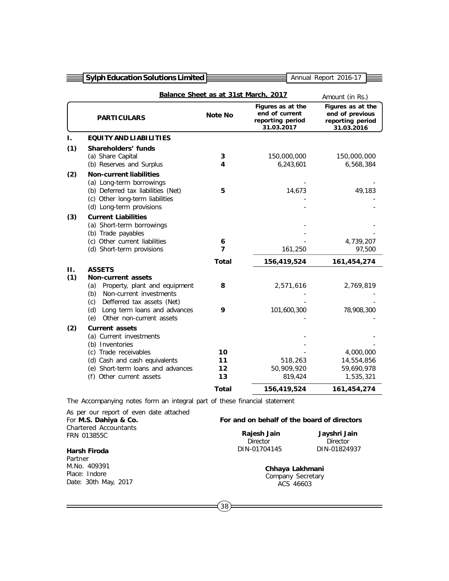| <b>Sylph Education Solutions Limited</b>                                                                                                                                                       |                                                  |                                                                       | Annual Report 2016-17                                                  |
|------------------------------------------------------------------------------------------------------------------------------------------------------------------------------------------------|--------------------------------------------------|-----------------------------------------------------------------------|------------------------------------------------------------------------|
|                                                                                                                                                                                                |                                                  |                                                                       | Amount (in Rs.)                                                        |
| <b>PARTICULARS</b>                                                                                                                                                                             | <b>Note No</b>                                   | Figures as at the<br>end of current<br>reporting period<br>31.03.2017 | Figures as at the<br>end of previous<br>reporting period<br>31.03.2016 |
| <b>EQUITY AND LIABILITIES</b>                                                                                                                                                                  |                                                  |                                                                       |                                                                        |
| Shareholders' funds<br>(a) Share Capital<br>(b) Reserves and Surplus                                                                                                                           | 3<br>4                                           | 150,000,000<br>6,243,601                                              | 150,000,000<br>6,568,384                                               |
| <b>Non-current liabilities</b><br>(a) Long-term borrowings<br>(b) Deferred tax liabilities (Net)<br>(c) Other long-term liabilities<br>(d) Long-term provisions                                | 5                                                | 14,673                                                                | 49,183                                                                 |
| <b>Current Liabilities</b><br>(a) Short-term borrowings<br>(b) Trade payables<br>(c) Other current liabilities<br>(d) Short-term provisions                                                    | 6<br>7                                           | 161,250                                                               | 4,739,207<br>97,500                                                    |
|                                                                                                                                                                                                | Total                                            | 156,419,524                                                           | 161,454,274                                                            |
| Non-current assets<br>Property, plant and equipment<br>(a)<br>Non-current investments<br>(b)<br>Defferred tax assets (Net)<br>(c)<br>Long term loans and advances<br>(d)                       | 8<br>9                                           | 2,571,616<br>101,600,300                                              | 2,769,819<br>78,908,300                                                |
| <b>Current assets</b><br>(a) Current investments<br>(b) Inventories<br>(c) Trade receivables<br>(d) Cash and cash equivalents<br>(e) Short-term loans and advances<br>(f) Other current assets | 10<br>11<br>12<br>13                             | 518,263<br>50,909,920<br>819,424                                      | 4,000,000<br>14,554,856<br>59,690,978<br>1,535,321<br>161,454,274      |
|                                                                                                                                                                                                | <b>ASSETS</b><br>Other non-current assets<br>(e) | <b>Total</b>                                                          | Balance Sheet as at 31st March, 2017<br>156,419,524                    |

The Accompanying notes form an integral part of these financial statement

| As per our report of even date attached<br>For M.S. Dahiya & Co. | For and on behalf of the board of directors |                 |  |  |
|------------------------------------------------------------------|---------------------------------------------|-----------------|--|--|
| <b>Chartered Accountants</b>                                     | Rajesh Jain                                 | Jayshri Jain    |  |  |
| FRN 013855C                                                      | <b>Director</b>                             | <b>Director</b> |  |  |
| Harsh Firoda<br>Partner                                          | DIN-01704145                                | DIN-01824937    |  |  |
| M.No. 409391                                                     | Chhaya Lakhmani                             |                 |  |  |
| Place: Indore                                                    | Company Secretary                           |                 |  |  |
| Date: 30th May, 2017                                             | ACS 46603                                   |                 |  |  |

 $=$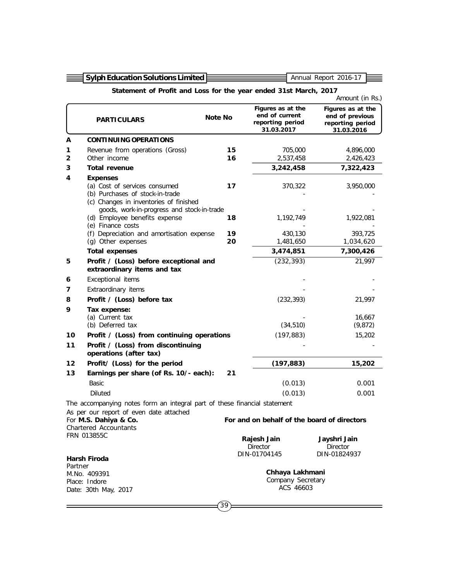|                                                                                                                 | <b>Sylph Education Solutions Limited</b><br>Annual Report 2016-17                                                                                                           |          |                                                                       |                                                                        |  |  |
|-----------------------------------------------------------------------------------------------------------------|-----------------------------------------------------------------------------------------------------------------------------------------------------------------------------|----------|-----------------------------------------------------------------------|------------------------------------------------------------------------|--|--|
|                                                                                                                 | Statement of Profit and Loss for the year ended 31st March, 2017                                                                                                            |          |                                                                       |                                                                        |  |  |
|                                                                                                                 | Amount (in Rs.)                                                                                                                                                             |          |                                                                       |                                                                        |  |  |
|                                                                                                                 | <b>PARTICULARS</b>                                                                                                                                                          | Note No  | Figures as at the<br>end of current<br>reporting period<br>31.03.2017 | Figures as at the<br>end of previous<br>reporting period<br>31.03.2016 |  |  |
| A                                                                                                               | <b>CONTINUING OPERATIONS</b>                                                                                                                                                |          |                                                                       |                                                                        |  |  |
| 1<br>2                                                                                                          | Revenue from operations (Gross)<br>Other income                                                                                                                             | 15<br>16 | 705,000<br>2,537,458                                                  | 4,896,000<br>2,426,423                                                 |  |  |
| 3                                                                                                               | <b>Total revenue</b>                                                                                                                                                        |          | 3,242,458                                                             | 7,322,423                                                              |  |  |
| 4                                                                                                               | <b>Expenses</b><br>(a) Cost of services consumed<br>(b) Purchases of stock-in-trade<br>(c) Changes in inventories of finished<br>goods, work-in-progress and stock-in-trade | 17       | 370,322                                                               | 3,950,000                                                              |  |  |
|                                                                                                                 | (d) Employee benefits expense<br>(e) Finance costs                                                                                                                          | 18       | 1,192,749                                                             | 1,922,081                                                              |  |  |
|                                                                                                                 | (f) Depreciation and amortisation expense<br>(g) Other expenses                                                                                                             | 19<br>20 | 430,130<br>1,481,650                                                  | 393,725<br>1,034,620                                                   |  |  |
|                                                                                                                 | <b>Total expenses</b>                                                                                                                                                       |          | 3,474,851                                                             | 7,300,426                                                              |  |  |
| 5                                                                                                               | Profit / (Loss) before exceptional and<br>extraordinary items and tax                                                                                                       |          | (232, 393)                                                            | 21,997                                                                 |  |  |
| 6                                                                                                               | Exceptional items                                                                                                                                                           |          |                                                                       |                                                                        |  |  |
| 7                                                                                                               | Extraordinary items                                                                                                                                                         |          |                                                                       |                                                                        |  |  |
| 8                                                                                                               | Profit / (Loss) before tax                                                                                                                                                  |          | (232, 393)                                                            | 21,997                                                                 |  |  |
| 9                                                                                                               | Tax expense:                                                                                                                                                                |          |                                                                       |                                                                        |  |  |
|                                                                                                                 | (a) Current tax                                                                                                                                                             |          |                                                                       | 16,667                                                                 |  |  |
|                                                                                                                 | (b) Deferred tax                                                                                                                                                            |          | (34, 510)                                                             | (9, 872)                                                               |  |  |
| 10<br>11                                                                                                        | Profit / (Loss) from continuing operations<br>Profit / (Loss) from discontinuing<br>operations (after tax)                                                                  |          | (197, 883)                                                            | 15,202                                                                 |  |  |
| 12                                                                                                              | Profit/ (Loss) for the period                                                                                                                                               |          | (197, 883)                                                            | 15,202                                                                 |  |  |
| 13                                                                                                              | Earnings per share (of Rs. 10/- each):                                                                                                                                      | 21       |                                                                       |                                                                        |  |  |
|                                                                                                                 | <b>Basic</b>                                                                                                                                                                |          | (0.013)                                                               | 0.001                                                                  |  |  |
|                                                                                                                 | <b>Diluted</b>                                                                                                                                                              |          | (0.013)                                                               | 0.001                                                                  |  |  |
|                                                                                                                 | The accompanying notes form an integral part of these financial statement                                                                                                   |          |                                                                       |                                                                        |  |  |
| As per our report of even date attached<br>For M.S. Dahiya & Co.<br><b>Chartered Accountants</b><br>FRN 013855C |                                                                                                                                                                             |          | For and on behalf of the board of directors                           |                                                                        |  |  |
|                                                                                                                 | Harsh Firoda                                                                                                                                                                |          | Rajesh Jain<br><b>Director</b><br>DIN-01704145                        | Jayshri Jain<br>Director<br>DIN-01824937                               |  |  |
| Partner                                                                                                         |                                                                                                                                                                             |          |                                                                       |                                                                        |  |  |
|                                                                                                                 | M.No. 409391                                                                                                                                                                |          | Chhaya Lakhmani                                                       |                                                                        |  |  |
|                                                                                                                 | Company Secretary<br>Place: Indore<br>ACS 46603<br>Date: 30th May, 2017                                                                                                     |          |                                                                       |                                                                        |  |  |
|                                                                                                                 |                                                                                                                                                                             | 39       |                                                                       |                                                                        |  |  |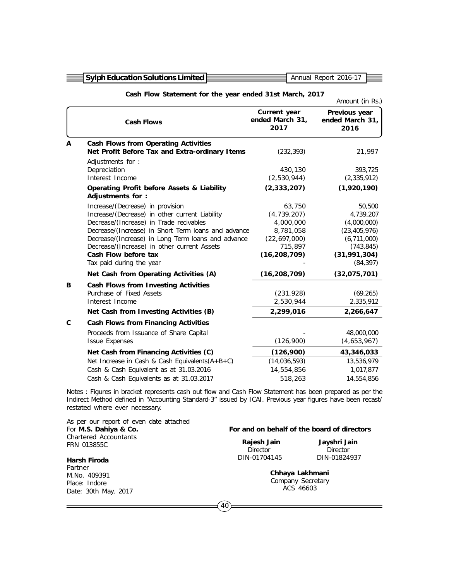|  | $\equiv$ Sylph Education Solutions Limited |  |
|--|--------------------------------------------|--|
|  |                                            |  |

Annual Report 2016-17

|             |                                                                                                                                                                                                                                                                                                                                               |                                                                                              | Amount (in Rs.)                                                                                                |
|-------------|-----------------------------------------------------------------------------------------------------------------------------------------------------------------------------------------------------------------------------------------------------------------------------------------------------------------------------------------------|----------------------------------------------------------------------------------------------|----------------------------------------------------------------------------------------------------------------|
|             | <b>Cash Flows</b>                                                                                                                                                                                                                                                                                                                             | Current year<br>ended March 31,<br>2017                                                      | Previous year<br>ended March 31,<br>2016                                                                       |
| A           | <b>Cash Flows from Operating Activities</b><br>Net Profit Before Tax and Extra-ordinary Items                                                                                                                                                                                                                                                 | (232, 393)                                                                                   | 21,997                                                                                                         |
|             | Adjustments for :<br>Depreciation<br>Interest Income                                                                                                                                                                                                                                                                                          | 430,130<br>(2,530,944)                                                                       | 393,725<br>(2,335,912)                                                                                         |
|             | <b>Operating Profit before Assets &amp; Liability</b><br>Adjustments for:                                                                                                                                                                                                                                                                     | (2, 333, 207)                                                                                | (1,920,190)                                                                                                    |
|             | Increase/(Decrease) in provision<br>Increase/(Decrease) in other current Liability<br>Decrease/(Increase) in Trade recivables<br>Decrease/(Increase) in Short Term loans and advance<br>Decrease/(Increase) in Long Term loans and advance<br>Decrease/(Increase) in other current Assets<br>Cash Flow before tax<br>Tax paid during the year | 63,750<br>(4,739,207)<br>4,000,000<br>8,781,058<br>(22,697,000)<br>715,897<br>(16, 208, 709) | 50,500<br>4,739,207<br>(4,000,000)<br>(23, 405, 976)<br>(6,711,000)<br>(743, 845)<br>(31,991,304)<br>(84, 397) |
|             | Net Cash from Operating Activities (A)                                                                                                                                                                                                                                                                                                        | (16, 208, 709)                                                                               | (32,075,701)                                                                                                   |
| В           | Cash Flows from Investing Activities<br>Purchase of Fixed Assets<br>Interest Income<br>Net Cash from Investing Activities (B)                                                                                                                                                                                                                 | (231, 928)<br>2,530,944<br>2,299,016                                                         | (69, 265)<br>2,335,912<br>2,266,647                                                                            |
| $\mathbf c$ | <b>Cash Flows from Financing Activities</b>                                                                                                                                                                                                                                                                                                   |                                                                                              |                                                                                                                |
|             | Proceeds from Issuance of Share Capital<br><b>Issue Expenses</b>                                                                                                                                                                                                                                                                              | (126,900)                                                                                    | 48,000,000<br>(4,653,967)                                                                                      |
|             | Net Cash from Financing Activities (C)                                                                                                                                                                                                                                                                                                        | (126,900)                                                                                    | 43,346,033                                                                                                     |
|             | Net Increase in Cash & Cash Equivalents $(A+B+C)$<br>Cash & Cash Equivalent as at 31.03.2016                                                                                                                                                                                                                                                  | (14,036,593)<br>14,554,856                                                                   | 13,536,979<br>1,017,877                                                                                        |
|             | Cash & Cash Equivalents as at 31.03.2017                                                                                                                                                                                                                                                                                                      | 518,263                                                                                      | 14,554,856                                                                                                     |

Notes : Figures in bracket represents cash out flow and Cash Flow Statement has been prepared as per the Indirect Method defined in "Accounting Standard-3" issued by ICAI. Previous year figures have been recast/ restated where ever necessary.

| As per our report of even date attached<br>For M.S. Dahiya & Co. |                                | For and on behalf of the board of directors       |
|------------------------------------------------------------------|--------------------------------|---------------------------------------------------|
| <b>Chartered Accountants</b><br>FRN 013855C                      | Rajesh Jain<br><b>Director</b> | Jayshri Jain<br><b>Director</b>                   |
| <b>Harsh Firoda</b>                                              | DIN-01704145                   | DIN-01824937                                      |
| Partner<br>M.No. 409391<br>Place: Indore<br>Date: 30th May, 2017 |                                | Chhaya Lakhmani<br>Company Secretary<br>ACS 46603 |
|                                                                  | 40                             |                                                   |

## **Cash Flow Statement for the year ended 31st March, 2017**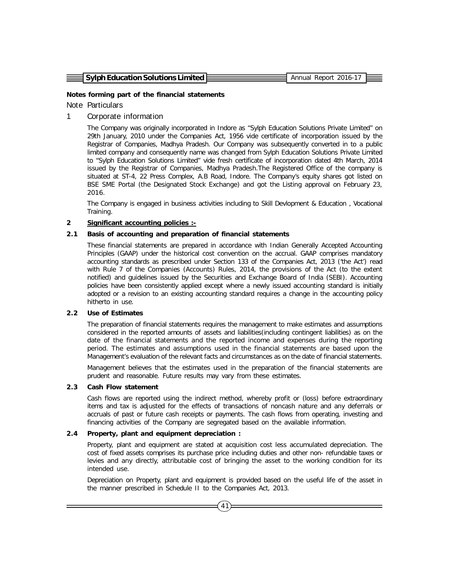| $\equiv$ Sylph Education Solutions Limited $\equiv$ |  | Annual Report 2016-17 |  |
|-----------------------------------------------------|--|-----------------------|--|
|                                                     |  |                       |  |

#### **Notes forming part of the financial statements**

## Note Particulars

## 1 Corporate information

The Company was originally incorporated in Indore as "Sylph Education Solutions Private Limited" on 29th January, 2010 under the Companies Act, 1956 vide certificate of incorporation issued by the Registrar of Companies, Madhya Pradesh. Our Company was subsequently converted in to a public limited company and consequently name was changed from Sylph Education Solutions Private Limited to "Sylph Education Solutions Limited" vide fresh certificate of incorporation dated 4th March, 2014 issued by the Registrar of Companies, Madhya Pradesh.The Registered Office of the company is situated at ST-4, 22 Press Complex, A.B Road, Indore. The Company's equity shares got listed on BSE SME Portal (the Designated Stock Exchange) and got the Listing approval on February 23, 2016.

The Company is engaged in business activities including to Skill Devlopment & Education , Vocational Training.

#### **2 Significant accounting policies :-**

#### **2.1 Basis of accounting and preparation of financial statements**

These financial statements are prepared in accordance with Indian Generally Accepted Accounting Principles (GAAP) under the historical cost convention on the accrual. GAAP comprises mandatory accounting standards as prescribed under Section 133 of the Companies Act, 2013 ('the Act') read with Rule 7 of the Companies (Accounts) Rules, 2014, the provisions of the Act (to the extent notified) and guidelines issued by the Securities and Exchange Board of India (SEBI). Accounting policies have been consistently applied except where a newly issued accounting standard is initially adopted or a revision to an existing accounting standard requires a change in the accounting policy hitherto in use.

#### **2.2 Use of Estimates**

The preparation of financial statements requires the management to make estimates and assumptions considered in the reported amounts of assets and liabilities(including contingent liabilities) as on the date of the financial statements and the reported income and expenses during the reporting period. The estimates and assumptions used in the financial statements are based upon the Management's evaluation of the relevant facts and circumstances as on the date of financial statements.

Management believes that the estimates used in the preparation of the financial statements are prudent and reasonable. Future results may vary from these estimates.

#### **2.3 Cash Flow statement**

Cash flows are reported using the indirect method, whereby profit or (loss) before extraordinary items and tax is adjusted for the effects of transactions of noncash nature and any deferrals or accruals of past or future cash receipts or payments. The cash flows from operating, investing and financing activities of the Company are segregated based on the available information.

#### **2.4 Property, plant and equipment depreciation :**

Property, plant and equipment are stated at acquisition cost less accumulated depreciation. The cost of fixed assets comprises its purchase price including duties and other non- refundable taxes or levies and any directly, attributable cost of bringing the asset to the working condition for its intended use.

Depreciation on Property, plant and equipment is provided based on the useful life of the asset in the manner prescribed in Schedule II to the Companies Act, 2013.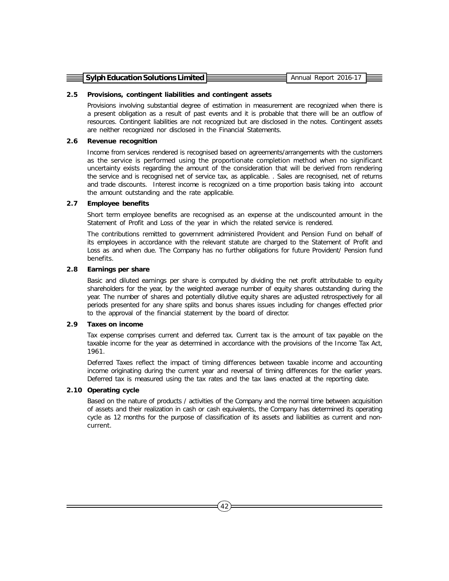| $\equiv$ Sylph Education Solutions Limited E<br>Annual Report 2016-17 |  |
|-----------------------------------------------------------------------|--|
|                                                                       |  |
|                                                                       |  |
|                                                                       |  |

#### **2.5 Provisions, contingent liabilities and contingent assets**

Provisions involving substantial degree of estimation in measurement are recognized when there is a present obligation as a result of past events and it is probable that there will be an outflow of resources. Contingent liabilities are not recognized but are disclosed in the notes. Contingent assets are neither recognized nor disclosed in the Financial Statements.

# **2.6 Revenue recognition**

Income from services rendered is recognised based on agreements/arrangements with the customers as the service is performed using the proportionate completion method when no significant uncertainty exists regarding the amount of the consideration that will be derived from rendering the service and is recognised net of service tax, as applicable. . Sales are recognised, net of returns and trade discounts. Interest income is recognized on a time proportion basis taking into account the amount outstanding and the rate applicable.

#### **2.7 Employee benefits**

Short term employee benefits are recognised as an expense at the undiscounted amount in the Statement of Profit and Loss of the year in which the related service is rendered.

The contributions remitted to government administered Provident and Pension Fund on behalf of its employees in accordance with the relevant statute are charged to the Statement of Profit and Loss as and when due. The Company has no further obligations for future Provident/ Pension fund benefits.

#### **2.8 Earnings per share**

Basic and diluted earnings per share is computed by dividing the net profit attributable to equity shareholders for the year, by the weighted average number of equity shares outstanding during the year. The number of shares and potentially dilutive equity shares are adjusted retrospectively for all periods presented for any share splits and bonus shares issues including for changes effected prior to the approval of the financial statement by the board of director.

### **2.9 Taxes on income**

Tax expense comprises current and deferred tax. Current tax is the amount of tax payable on the taxable income for the year as determined in accordance with the provisions of the Income Tax Act, 1961.

Deferred Taxes reflect the impact of timing differences between taxable income and accounting income originating during the current year and reversal of timing differences for the earlier years. Deferred tax is measured using the tax rates and the tax laws enacted at the reporting date.

#### **2.10 Operating cycle**

Based on the nature of products / activities of the Company and the normal time between acquisition of assets and their realization in cash or cash equivalents, the Company has determined its operating cycle as 12 months for the purpose of classification of its assets and liabilities as current and noncurrent.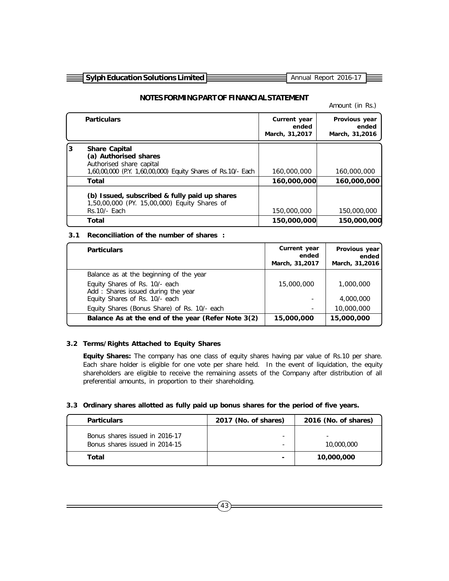| $\equiv$ Sylph Education Solutions Limited $\frac{1}{2}$ |  | Annual Report 2016-17 |  |
|----------------------------------------------------------|--|-----------------------|--|
|                                                          |  |                       |  |

# **NOTES FORMING PART OF FINANCIAL STATEMENT**

#### Amount (in Rs.)

|    | <b>Particulars</b>                                                                                                                        | Current year<br>ended<br>March, 31,2017 | Provious year<br>ended<br>March, 31,2016 |
|----|-------------------------------------------------------------------------------------------------------------------------------------------|-----------------------------------------|------------------------------------------|
| l3 | <b>Share Capital</b><br>(a) Authorised shares<br>Authorised share capital<br>1,60,00,000 (P.Y. 1,60,00,000) Equity Shares of Rs.10/- Each | 160,000,000                             | 160,000,000                              |
|    | Total                                                                                                                                     | 160,000,000                             | 160,000,000                              |
|    | (b) Issued, subscribed & fully paid up shares<br>1,50,00,000 (PY. 15,00,000) Equity Shares of<br>Rs.10/- Each                             | 150,000,000                             | 150,000,000                              |
|    | Total                                                                                                                                     | 150,000,000                             | 150,000,000                              |

# **3.1 Reconciliation of the number of shares :**

| <b>Particulars</b>                                                   | Current year<br>ended<br>March, 31,2017 | Provious year<br>ended<br>March, 31,2016 |
|----------------------------------------------------------------------|-----------------------------------------|------------------------------------------|
| Balance as at the beginning of the year                              |                                         |                                          |
| Equity Shares of Rs. 10/- each<br>Add: Shares issued during the year | 15,000,000                              | 1,000,000                                |
| Equity Shares of Rs. 10/- each                                       | ۰                                       | 4,000,000                                |
| Equity Shares (Bonus Share) of Rs. 10/- each                         | ۰                                       | 10,000,000                               |
| Balance As at the end of the year (Refer Note 3(2)                   | 15,000,000                              | 15,000,000                               |

#### **3.2 Terms/Rights Attached to Equity Shares**

**Equity Shares:** The company has one class of equity shares having par value of Rs.10 per share. Each share holder is eligible for one vote per share held. In the event of liquidation, the equity shareholders are eligible to receive the remaining assets of the Company after distribution of all preferential amounts, in proportion to their shareholding.

#### **3.3 Ordinary shares allotted as fully paid up bonus shares for the period of five years.**

| <b>Particulars</b>                                               | 2017 (No. of shares)     | 2016 (No. of shares) |
|------------------------------------------------------------------|--------------------------|----------------------|
| Bonus shares issued in 2016-17<br>Bonus shares issued in 2014-15 | -                        | 10,000,000           |
| Total                                                            | $\overline{\phantom{0}}$ | 10,000,000           |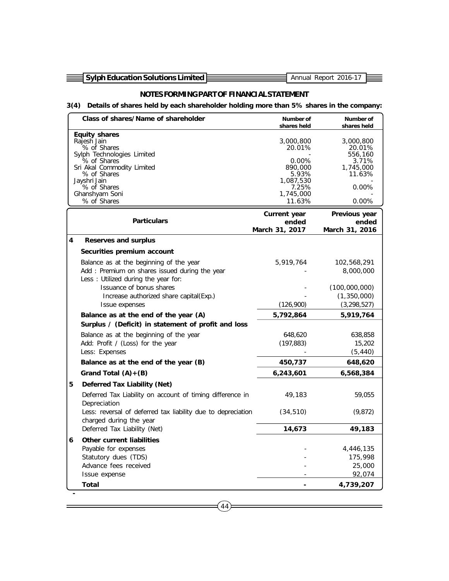Ξ

# **NOTES FORMING PART OF FINANCIAL STATEMENT**

# **3(4) Details of shares held by each shareholder holding more than 5% shares in the company:**

| <b>Equity shares</b><br>Rajesh Jain<br>3,000,800<br>% of Shares<br>20.01%<br>Sylph Technologies Limited<br>0.00%<br>% of Shares<br>Sri Akal Commodity Limited<br>890,000<br>% of Shares<br>5.93%<br>Jayshri Jain<br>1,087,530<br>% of Shares<br>7.25%<br>Ghanshyam Soni<br>1,745,000<br>% of Shares<br>11.63% | 3,000,800<br>20.01%<br>556,160<br>3.71%<br>1,745,000<br>11.63%<br>0.00%<br>0.00% |
|---------------------------------------------------------------------------------------------------------------------------------------------------------------------------------------------------------------------------------------------------------------------------------------------------------------|----------------------------------------------------------------------------------|
| Current year<br>Previous year<br><b>Particulars</b><br>ended<br>March 31, 2017<br>March 31, 2016                                                                                                                                                                                                              | ended                                                                            |
| 4<br><b>Reserves and surplus</b>                                                                                                                                                                                                                                                                              |                                                                                  |
| Securities premium account                                                                                                                                                                                                                                                                                    |                                                                                  |
| Balance as at the beginning of the year<br>5,919,764<br>Add: Premium on shares issued during the year<br>Less : Utilized during the year for:                                                                                                                                                                 | 102,568,291<br>8,000,000                                                         |
| Issuance of bonus shares<br>(100,000,000)                                                                                                                                                                                                                                                                     |                                                                                  |
| Increase authorized share capital(Exp.)<br>(126,900)                                                                                                                                                                                                                                                          | (1,350,000)<br>(3, 298, 527)                                                     |
| Issue expenses<br>Balance as at the end of the year (A)<br>5,792,864                                                                                                                                                                                                                                          | 5,919,764                                                                        |
| Surplus / (Deficit) in statement of profit and loss                                                                                                                                                                                                                                                           |                                                                                  |
| Balance as at the beginning of the year<br>648,620                                                                                                                                                                                                                                                            | 638,858                                                                          |
| Add: Profit / (Loss) for the year<br>(197, 883)                                                                                                                                                                                                                                                               | 15,202                                                                           |
| Less: Expenses                                                                                                                                                                                                                                                                                                | (5, 440)                                                                         |
| 450,737<br>Balance as at the end of the year (B)                                                                                                                                                                                                                                                              | 648,620                                                                          |
| 6,243,601<br>Grand Total $(A)+(B)$                                                                                                                                                                                                                                                                            | 6,568,384                                                                        |
| 5<br>Deferred Tax Liability (Net)                                                                                                                                                                                                                                                                             |                                                                                  |
| Deferred Tax Liability on account of timing difference in<br>49,183<br>Depreciation                                                                                                                                                                                                                           | 59,055                                                                           |
| Less: reversal of deferred tax liability due to depreciation<br>(34, 510)<br>charged during the year                                                                                                                                                                                                          | (9,872)                                                                          |
| 14,673<br>Deferred Tax Liability (Net)                                                                                                                                                                                                                                                                        | 49,183                                                                           |
| <b>Other current liabilities</b><br>6                                                                                                                                                                                                                                                                         |                                                                                  |
| Payable for expenses                                                                                                                                                                                                                                                                                          | 4,446,135                                                                        |
| Statutory dues (TDS)<br>Advance fees received                                                                                                                                                                                                                                                                 | 175,998<br>25,000                                                                |
| Issue expense                                                                                                                                                                                                                                                                                                 | 92,074                                                                           |
| Total                                                                                                                                                                                                                                                                                                         | 4,739,207                                                                        |

 $(44)$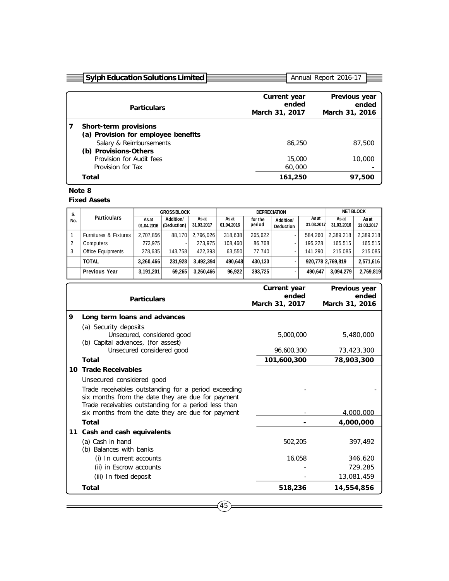| <b>Sylph Education Solutions Limited</b> |                                         | Annual Report 2016-17                    |
|------------------------------------------|-----------------------------------------|------------------------------------------|
|                                          |                                         |                                          |
| <b>Particulars</b>                       | Current year<br>ended<br>March 31, 2017 | Previous year<br>ended<br>March 31, 2016 |
| Short-term provisions                    |                                         |                                          |
| (a) Provision for employee benefits      |                                         |                                          |
| Salary & Reimbursements                  | 86,250                                  | 87,500                                   |
| (b) Provisions-Others                    |                                         |                                          |
| Provision for Audit fees                 | 15,000                                  | 10,000                                   |
| Provision for Tax                        | 60,000                                  |                                          |
| Total                                    | 161,250                                 | 97,500                                   |

# **Note 8**

**Fixed Assets**

| S.  | <b>Particulars</b>               | <b>GROSS BLOCK</b>  |                          | <b>DEPRECIATION</b> |                     |                   |                               | <b>NET BLOCK</b>    |                     |                     |
|-----|----------------------------------|---------------------|--------------------------|---------------------|---------------------|-------------------|-------------------------------|---------------------|---------------------|---------------------|
| No. |                                  | As at<br>01.04.2016 | Addition/<br>(Deduction) | As at<br>31.03.2017 | As at<br>01.04.2016 | for the<br>period | Addition/<br><b>Deduction</b> | As at<br>31.03.2017 | As at<br>31.03.2016 | As at<br>31.03.2017 |
|     | <b>Furnitures &amp; Fixtures</b> | 2.707.856           | 88.170                   | 2.796.026           | 318,638             | 265.622           |                               | 584.260             | 2.389.218           | 2.389.218           |
|     | Computers                        | 273.975             |                          | 273.975             | 108,460             | 86.768            |                               | 195.228             | 165.515             | 165.515             |
|     | Office Equipments                | 278.635             | 143.758                  | 422.393             | 63.550              | 77.740            |                               | 141.290             | 215,085             | 215.085             |
|     | <b>TOTAL</b>                     | 3,260,466           | 231.928                  | 3.492.394           | 490.648             | 430.130           |                               |                     | 920,778 2,769,819   | 2,571,616           |
|     | <b>Previous Year</b>             | 3,191,201           | 69,265                   | 3,260,466           | 96.922              | 393,725           |                               | 490.647             | 3.094.279           | 2,769,819           |

|   | <b>Particulars</b>                                                                                                                                                | Current year<br>ended<br>March 31, 2017 | Previous year<br>ended<br>March 31, 2016 |
|---|-------------------------------------------------------------------------------------------------------------------------------------------------------------------|-----------------------------------------|------------------------------------------|
| 9 | Long term loans and advances                                                                                                                                      |                                         |                                          |
|   | (a) Security deposits<br>Unsecured, considered good<br>(b) Capital advances, (for assest)                                                                         | 5,000,000                               | 5,480,000                                |
|   | Unsecured considered good                                                                                                                                         | 96,600,300                              | 73,423,300                               |
|   | Total                                                                                                                                                             | 101,600,300                             | 78,903,300                               |
|   | 10 Trade Receivables                                                                                                                                              |                                         |                                          |
|   | Unsecured considered good                                                                                                                                         |                                         |                                          |
|   | Trade receivables outstanding for a period exceeding<br>six months from the date they are due for payment<br>Trade receivables outstanding for a period less than |                                         |                                          |
|   | six months from the date they are due for payment                                                                                                                 |                                         | 4,000,000                                |
|   | Total                                                                                                                                                             |                                         | 4,000,000                                |
|   | 11 Cash and cash equivalents                                                                                                                                      |                                         |                                          |
|   | (a) Cash in hand<br>(b) Balances with banks                                                                                                                       | 502,205                                 | 397,492                                  |
|   | (i) In current accounts                                                                                                                                           | 16,058                                  | 346,620                                  |
|   | (ii) in Escrow accounts                                                                                                                                           |                                         | 729,285                                  |
|   | (iii) In fixed deposit                                                                                                                                            |                                         | 13,081,459                               |
|   | Total                                                                                                                                                             | 518,236                                 | 14,554,856                               |

 $(45)$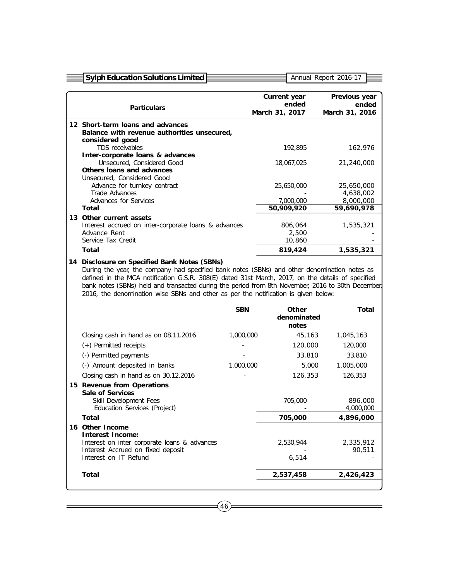| <b>Sylph Education Solutions Limited</b>                                                                                                                                                |            |                         | Annual Report 2016-17   |
|-----------------------------------------------------------------------------------------------------------------------------------------------------------------------------------------|------------|-------------------------|-------------------------|
|                                                                                                                                                                                         |            |                         |                         |
|                                                                                                                                                                                         |            | Current year            | Previous year           |
| <b>Particulars</b>                                                                                                                                                                      |            | ended<br>March 31, 2017 | ended<br>March 31, 2016 |
|                                                                                                                                                                                         |            |                         |                         |
| 12 Short-term loans and advances                                                                                                                                                        |            |                         |                         |
| Balance with revenue authorities unsecured,<br>considered good                                                                                                                          |            |                         |                         |
| TDS receivables                                                                                                                                                                         |            | 192,895                 | 162,976                 |
| Inter-corporate loans & advances                                                                                                                                                        |            |                         |                         |
| Unsecured, Considered Good                                                                                                                                                              |            | 18,067,025              | 21,240,000              |
| Others loans and advances<br>Unsecured, Considered Good                                                                                                                                 |            |                         |                         |
| Advance for turnkey contract                                                                                                                                                            |            | 25,650,000              | 25,650,000              |
| Trade Advances                                                                                                                                                                          |            |                         | 4,638,002               |
| Advances for Services                                                                                                                                                                   |            | 7,000,000               | 8,000,000               |
| Total                                                                                                                                                                                   |            | 50,909,920              | 59,690,978              |
| 13 Other current assets<br>Interest accrued on inter-corporate loans & advances                                                                                                         |            | 806,064                 | 1,535,321               |
| Advance Rent                                                                                                                                                                            |            | 2,500                   |                         |
| Service Tax Credit                                                                                                                                                                      |            | 10,860                  |                         |
| <b>Total</b>                                                                                                                                                                            |            | 819,424                 | 1,535,321               |
| bank notes (SBNs) held and transacted during the period from 8th November, 2016 to 30th December,<br>2016, the denomination wise SBNs and other as per the notification is given below: |            |                         |                         |
|                                                                                                                                                                                         | <b>SBN</b> | <b>Other</b>            | Total                   |
|                                                                                                                                                                                         |            | denominated<br>notes    |                         |
| Closing cash in hand as on 08.11.2016                                                                                                                                                   | 1,000,000  | 45,163                  | 1,045,163               |
| (+) Permitted receipts                                                                                                                                                                  |            | 120,000                 | 120,000                 |
| (-) Permitted payments                                                                                                                                                                  |            | 33,810                  | 33,810                  |
| (-) Amount deposited in banks                                                                                                                                                           | 1,000,000  | 5,000                   | 1,005,000               |
| Closing cash in hand as on 30.12.2016                                                                                                                                                   |            | 126,353                 | 126,353                 |
| 15 Revenue from Operations                                                                                                                                                              |            |                         |                         |
| <b>Sale of Services</b>                                                                                                                                                                 |            |                         |                         |
| Skill Development Fees                                                                                                                                                                  |            | 705,000                 | 896,000                 |
| Education Services (Project)                                                                                                                                                            |            |                         | 4,000,000               |
| Total                                                                                                                                                                                   |            | 705,000                 | 4,896,000               |
| 16 Other Income<br><b>Interest Income:</b>                                                                                                                                              |            |                         |                         |
| Interest on inter corporate loans & advances                                                                                                                                            |            | 2,530,944               | 2,335,912               |
| Interest Accrued on fixed deposit<br>Interest on IT Refund                                                                                                                              |            | 6,514                   | 90,511                  |
| <b>Total</b>                                                                                                                                                                            |            | 2,537,458               | 2,426,423               |

 $=$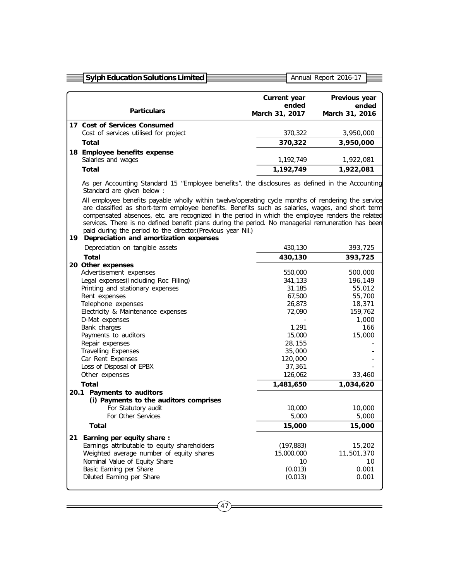|    | <b>Sylph Education Solutions Limited</b>                                                                                                                                                                                                                                                                                                                                                                                                                                                                                       |                                                                                                                                   | Annual Report 2016-17                                                                           |  |  |  |  |  |
|----|--------------------------------------------------------------------------------------------------------------------------------------------------------------------------------------------------------------------------------------------------------------------------------------------------------------------------------------------------------------------------------------------------------------------------------------------------------------------------------------------------------------------------------|-----------------------------------------------------------------------------------------------------------------------------------|-------------------------------------------------------------------------------------------------|--|--|--|--|--|
|    |                                                                                                                                                                                                                                                                                                                                                                                                                                                                                                                                |                                                                                                                                   |                                                                                                 |  |  |  |  |  |
|    |                                                                                                                                                                                                                                                                                                                                                                                                                                                                                                                                | Current year                                                                                                                      | Previous year                                                                                   |  |  |  |  |  |
|    | <b>Particulars</b>                                                                                                                                                                                                                                                                                                                                                                                                                                                                                                             | ended<br>March 31, 2017                                                                                                           | ended<br>March 31, 2016                                                                         |  |  |  |  |  |
|    | 17 Cost of Services Consumed                                                                                                                                                                                                                                                                                                                                                                                                                                                                                                   |                                                                                                                                   |                                                                                                 |  |  |  |  |  |
|    | Cost of services utilised for project                                                                                                                                                                                                                                                                                                                                                                                                                                                                                          | 370,322                                                                                                                           | 3,950,000                                                                                       |  |  |  |  |  |
|    | Total                                                                                                                                                                                                                                                                                                                                                                                                                                                                                                                          | 370,322                                                                                                                           | 3,950,000                                                                                       |  |  |  |  |  |
|    | 18 Employee benefits expense<br>Salaries and wages                                                                                                                                                                                                                                                                                                                                                                                                                                                                             | 1,192,749                                                                                                                         | 1,922,081                                                                                       |  |  |  |  |  |
|    | <b>Total</b>                                                                                                                                                                                                                                                                                                                                                                                                                                                                                                                   | 1,192,749                                                                                                                         | 1,922,081                                                                                       |  |  |  |  |  |
|    | As per Accounting Standard 15 "Employee benefits", the disclosures as defined in the Accounting<br>Standard are given below :                                                                                                                                                                                                                                                                                                                                                                                                  |                                                                                                                                   |                                                                                                 |  |  |  |  |  |
|    | All employee benefits payable wholly within twelve/operating cycle months of rendering the service<br>are classified as short-term employee benefits. Benefits such as salaries, wages, and short term<br>compensated absences, etc. are recognized in the period in which the employee renders the related<br>services. There is no defined benefit plans during the period. No managerial remuneration has been<br>paid during the period to the director. (Previous year Nil.)<br>19 Depreciation and amortization expenses |                                                                                                                                   |                                                                                                 |  |  |  |  |  |
|    | Depreciation on tangible assets                                                                                                                                                                                                                                                                                                                                                                                                                                                                                                | 430,130                                                                                                                           | 393,725                                                                                         |  |  |  |  |  |
|    | Total                                                                                                                                                                                                                                                                                                                                                                                                                                                                                                                          | 430,130                                                                                                                           | 393,725                                                                                         |  |  |  |  |  |
|    | 20 Other expenses<br>Advertisement expenses<br>Legal expenses (Including Roc Filling)<br>Printing and stationary expenses<br>Rent expenses<br>Telephone expenses<br>Electricity & Maintenance expenses<br>D-Mat expenses<br>Bank charges<br>Payments to auditors<br>Repair expenses<br>Travelling Expenses<br>Car Rent Expenses<br>Loss of Disposal of EPBX<br>Other expenses                                                                                                                                                  | 550,000<br>341,133<br>31,185<br>67,500<br>26,873<br>72,090<br>1,291<br>15,000<br>28,155<br>35,000<br>120,000<br>37,361<br>126,062 | 500,000<br>196,149<br>55,012<br>55,700<br>18,371<br>159,762<br>1,000<br>166<br>15,000<br>33,460 |  |  |  |  |  |
|    | Total                                                                                                                                                                                                                                                                                                                                                                                                                                                                                                                          | 1,481,650                                                                                                                         | 1,034,620                                                                                       |  |  |  |  |  |
|    | 20.1 Payments to auditors<br>(i) Payments to the auditors comprises<br>For Statutory audit<br>For Other Services                                                                                                                                                                                                                                                                                                                                                                                                               | 10,000<br>5,000                                                                                                                   | 10,000<br>5,000                                                                                 |  |  |  |  |  |
|    | Total                                                                                                                                                                                                                                                                                                                                                                                                                                                                                                                          | 15,000                                                                                                                            | 15,000                                                                                          |  |  |  |  |  |
| 21 | Earning per equity share:<br>Earnings attributable to equity shareholders<br>Weighted average number of equity shares                                                                                                                                                                                                                                                                                                                                                                                                          | (197, 883)<br>15,000,000                                                                                                          | 15,202<br>11,501,370                                                                            |  |  |  |  |  |

Nominal Value of Equity Share 10 10 Basic Earning per Share (0.013) 0.001 Diluted Earning per Share (0.013) 0.001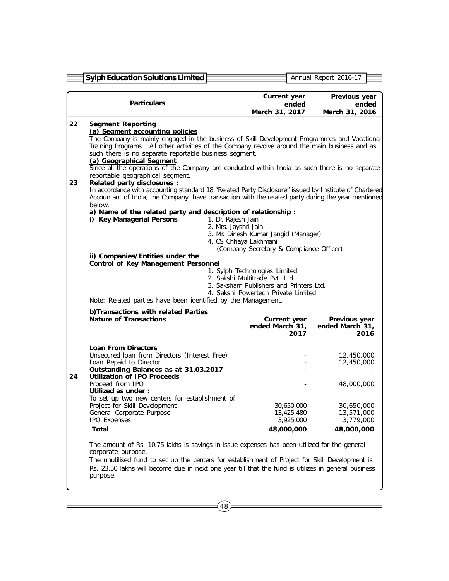|    | <b>Sylph Education Solutions Limited</b>                                                                                                                                                                                                                                                                                                                                                                                    |                                            |                                      |      | Annual Report 2016-17                    |  |  |  |  |
|----|-----------------------------------------------------------------------------------------------------------------------------------------------------------------------------------------------------------------------------------------------------------------------------------------------------------------------------------------------------------------------------------------------------------------------------|--------------------------------------------|--------------------------------------|------|------------------------------------------|--|--|--|--|
|    |                                                                                                                                                                                                                                                                                                                                                                                                                             |                                            |                                      |      |                                          |  |  |  |  |
|    | <b>Particulars</b>                                                                                                                                                                                                                                                                                                                                                                                                          |                                            | Current year                         |      | Previous year                            |  |  |  |  |
|    |                                                                                                                                                                                                                                                                                                                                                                                                                             |                                            | ended<br>March 31, 2017              |      | ended<br>March 31, 2016                  |  |  |  |  |
| 22 |                                                                                                                                                                                                                                                                                                                                                                                                                             |                                            |                                      |      |                                          |  |  |  |  |
|    | <b>Segment Reporting</b><br>(a) Segment accounting policies                                                                                                                                                                                                                                                                                                                                                                 |                                            |                                      |      |                                          |  |  |  |  |
|    | The Company is mainly engaged in the business of Skill Development Programmes and Vocational<br>Training Programs. All other activities of the Company revolve around the main business and as<br>such there is no separate reportable business segment.<br>(a) Geographical Segment<br>Since all the operations of the Company are conducted within India as such there is no separate<br>reportable geographical segment. |                                            |                                      |      |                                          |  |  |  |  |
| 23 | <b>Related party disclosures :</b><br>In accordance with accounting standard 18 "Related Party Disclosure" issued by Institute of Chartered<br>Accountant of India, the Company have transaction with the related party during the year mentioned<br>below.                                                                                                                                                                 |                                            |                                      |      |                                          |  |  |  |  |
|    | a) Name of the related party and description of relationship :<br>i) Key Managerial Persons                                                                                                                                                                                                                                                                                                                                 | 1. Dr. Rajesh Jain                         |                                      |      |                                          |  |  |  |  |
|    |                                                                                                                                                                                                                                                                                                                                                                                                                             | 2. Mrs. Jayshri Jain                       |                                      |      |                                          |  |  |  |  |
|    |                                                                                                                                                                                                                                                                                                                                                                                                                             |                                            | 3. Mr. Dinesh Kumar Jangid (Manager) |      |                                          |  |  |  |  |
|    | 4. CS Chhaya Lakhmani<br>(Company Secretary & Compliance Officer)                                                                                                                                                                                                                                                                                                                                                           |                                            |                                      |      |                                          |  |  |  |  |
|    | ii) Companies/Entities under the                                                                                                                                                                                                                                                                                                                                                                                            |                                            |                                      |      |                                          |  |  |  |  |
|    |                                                                                                                                                                                                                                                                                                                                                                                                                             | <b>Control of Key Management Personnel</b> |                                      |      |                                          |  |  |  |  |
|    | 1. Sylph Technologies Limited<br>2. Sakshi Multitrade Pvt. Ltd.<br>3. Saksham Publishers and Printers Ltd.<br>4. Sakshi Powertech Private Limited                                                                                                                                                                                                                                                                           |                                            |                                      |      |                                          |  |  |  |  |
|    | Note: Related parties have been identified by the Management.                                                                                                                                                                                                                                                                                                                                                               |                                            |                                      |      |                                          |  |  |  |  |
|    | b)Transactions with related Parties                                                                                                                                                                                                                                                                                                                                                                                         |                                            |                                      |      |                                          |  |  |  |  |
|    | <b>Nature of Transactions</b>                                                                                                                                                                                                                                                                                                                                                                                               |                                            | Current year<br>ended March 31,      | 2017 | Previous year<br>ended March 31,<br>2016 |  |  |  |  |
|    | <b>Loan From Directors</b>                                                                                                                                                                                                                                                                                                                                                                                                  |                                            |                                      |      |                                          |  |  |  |  |
|    | Unsecured loan from Directors (Interest Free)                                                                                                                                                                                                                                                                                                                                                                               |                                            |                                      |      | 12,450,000                               |  |  |  |  |
|    | Loan Repaid to Director<br>Outstanding Balances as at 31.03.2017                                                                                                                                                                                                                                                                                                                                                            |                                            |                                      |      | 12,450,000                               |  |  |  |  |
| 24 | <b>Utilization of IPO Proceeds</b>                                                                                                                                                                                                                                                                                                                                                                                          |                                            |                                      |      |                                          |  |  |  |  |
|    | Proceed from IPO<br>Utilized as under :                                                                                                                                                                                                                                                                                                                                                                                     |                                            |                                      |      | 48,000,000                               |  |  |  |  |
|    | To set up two new centers for establishment of                                                                                                                                                                                                                                                                                                                                                                              |                                            |                                      |      |                                          |  |  |  |  |
|    | Project for Skill Development                                                                                                                                                                                                                                                                                                                                                                                               |                                            | 30,650,000                           |      | 30,650,000                               |  |  |  |  |
|    | General Corporate Purpose<br><b>IPO Expenses</b>                                                                                                                                                                                                                                                                                                                                                                            |                                            | 13,425,480<br>3,925,000              |      | 13,571,000<br>3,779,000                  |  |  |  |  |
|    | <b>Total</b>                                                                                                                                                                                                                                                                                                                                                                                                                |                                            | 48,000,000                           |      | 48,000,000                               |  |  |  |  |
|    | The amount of Rs. 10.75 lakhs is savings in issue expenses has been utilized for the general<br>corporate purpose.                                                                                                                                                                                                                                                                                                          |                                            |                                      |      |                                          |  |  |  |  |
|    | The unutilised fund to set up the centers for establishment of Project for Skill Development is<br>Rs. 23.50 lakhs will become due in next one year till that the fund is utilizes in general business<br>purpose.                                                                                                                                                                                                          |                                            |                                      |      |                                          |  |  |  |  |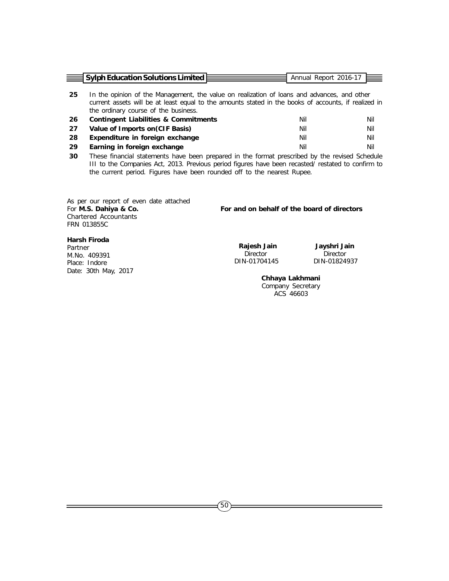|     | <b>Sylph Education Solutions Limited</b>                                                                                                                                                                                                    | Annual Report 2016-17 |     |
|-----|---------------------------------------------------------------------------------------------------------------------------------------------------------------------------------------------------------------------------------------------|-----------------------|-----|
| -25 | In the opinion of the Management, the value on realization of loans and advances, and other<br>current assets will be at least equal to the amounts stated in the books of accounts, if realized in<br>the ordinary course of the business. |                       |     |
| -26 | Contingent Liabilities & Commitments                                                                                                                                                                                                        | Nil                   | Nil |
| 27  | Value of Imports on (CIF Basis)                                                                                                                                                                                                             | Nil                   | Nil |
| 28  | Expenditure in foreign exchange                                                                                                                                                                                                             | Nil                   | Nil |
| -29 | Earning in foreign exchange                                                                                                                                                                                                                 | Nil                   | Nil |
|     |                                                                                                                                                                                                                                             |                       |     |

 **30** These financial statements have been prepared in the format prescribed by the revised Schedule III to the Companies Act, 2013. Previous period figures have been recasted/ restated to confirm to the current period. Figures have been rounded off to the nearest Rupee.

As per our report of even date attached For **M.S. Dahiya & Co. For and on behalf of the board of directors** Chartered Accountants FRN 013855C

# **Harsh Firoda**

Partner M.No. 409391 Place: Indore Date: 30th May, 2017

**Rajesh Jain Mark Jayshri Jain**<br>Director Director DIN-01704145

Director Director<br>N-01704145 DIN-01824937

**Chhaya Lakhmani** Company Secretary ACS 46603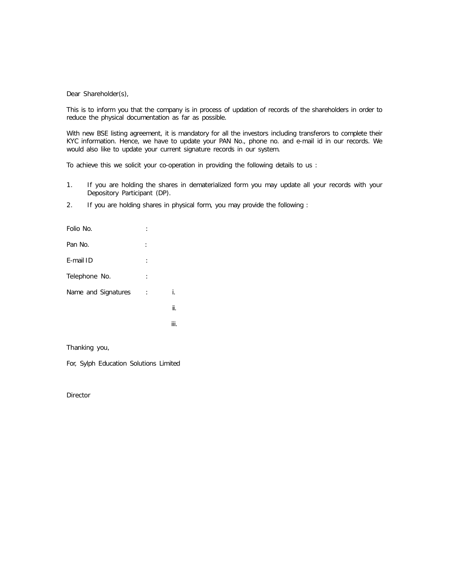#### Dear Shareholder(s),

This is to inform you that the company is in process of updation of records of the shareholders in order to reduce the physical documentation as far as possible.

With new BSE listing agreement, it is mandatory for all the investors including transferors to complete their KYC information. Hence, we have to update your PAN No., phone no. and e-mail id in our records. We would also like to update your current signature records in our system.

To achieve this we solicit your co-operation in providing the following details to us :

- 1. If you are holding the shares in dematerialized form you may update all your records with your Depository Participant (DP).
- 2. If you are holding shares in physical form, you may provide the following :

| Folio No.           | ٠        |      |
|---------------------|----------|------|
| Pan No.             |          |      |
| E-mail ID           | $\vdots$ |      |
| Telephone No.       | $\vdots$ |      |
| Name and Signatures | ÷        | i.   |
|                     |          | ii.  |
|                     |          | iii. |

Thanking you,

For, Sylph Education Solutions Limited

Director